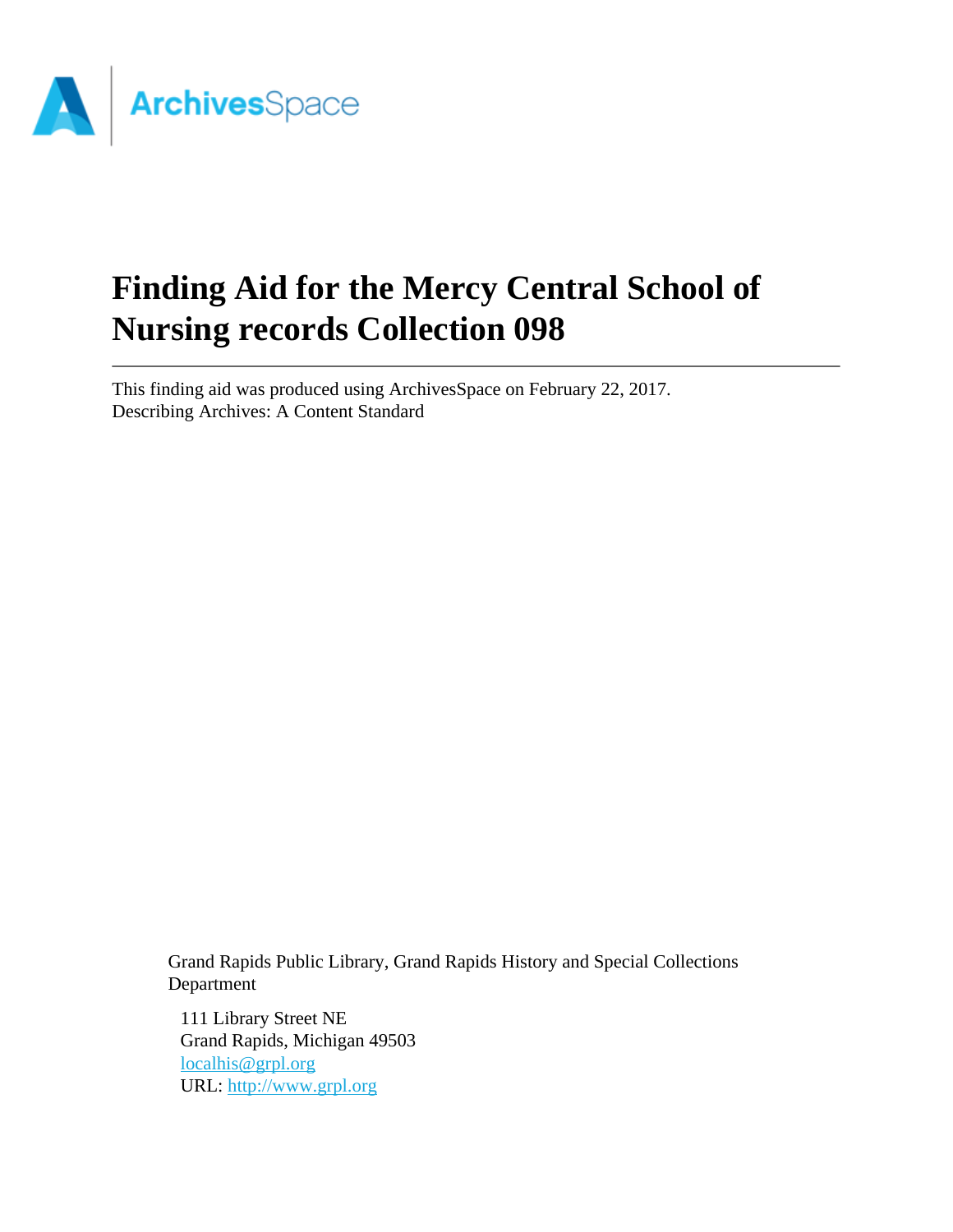

# **Finding Aid for the Mercy Central School of Nursing records Collection 098**

This finding aid was produced using ArchivesSpace on February 22, 2017. Describing Archives: A Content Standard

> Grand Rapids Public Library, Grand Rapids History and Special Collections Department

111 Library Street NE Grand Rapids, Michigan 49503 [localhis@grpl.org](mailto:localhis@grpl.org) URL:<http://www.grpl.org>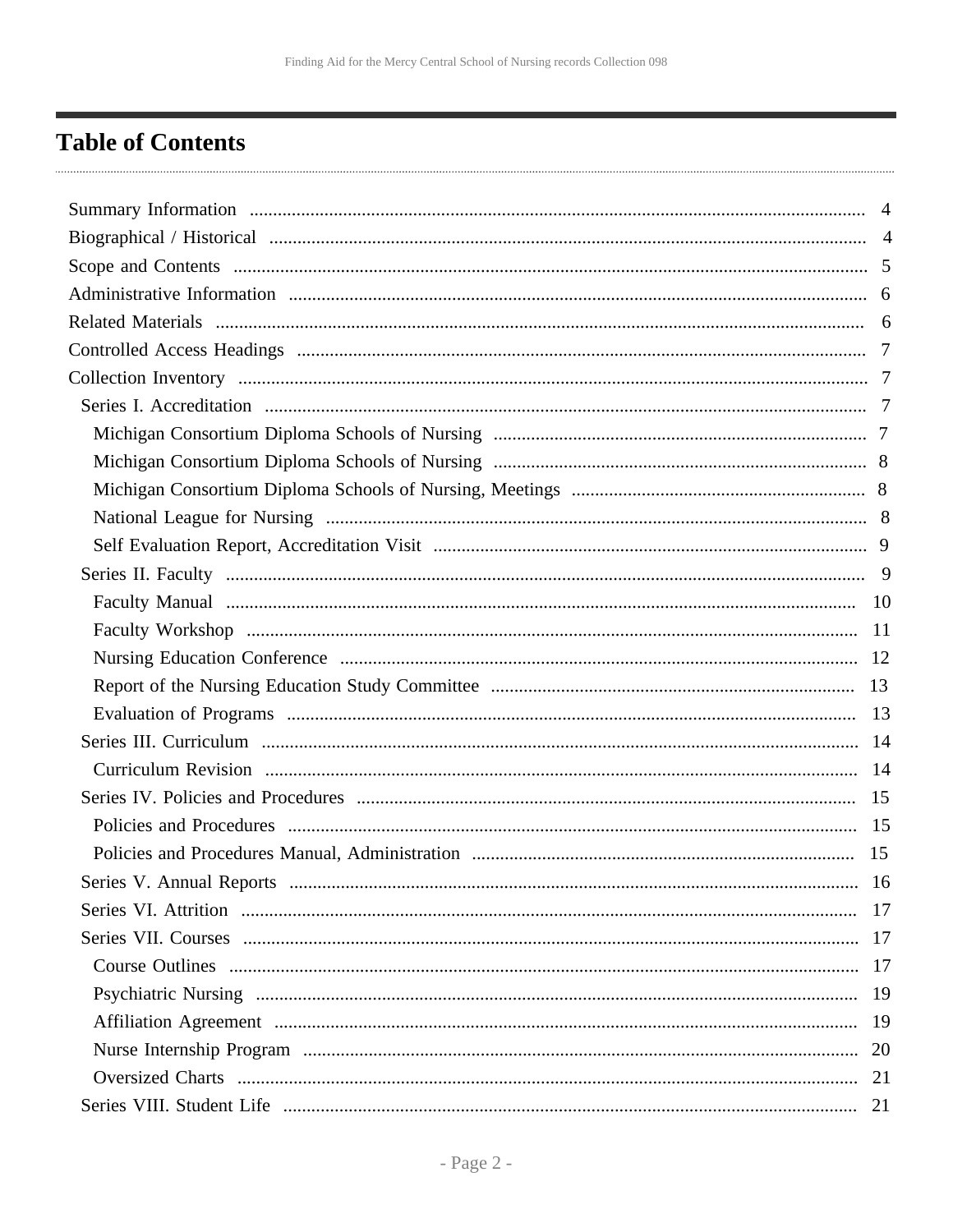## <span id="page-1-0"></span>**Table of Contents**

| 20 |
|----|
|    |
| 21 |
|    |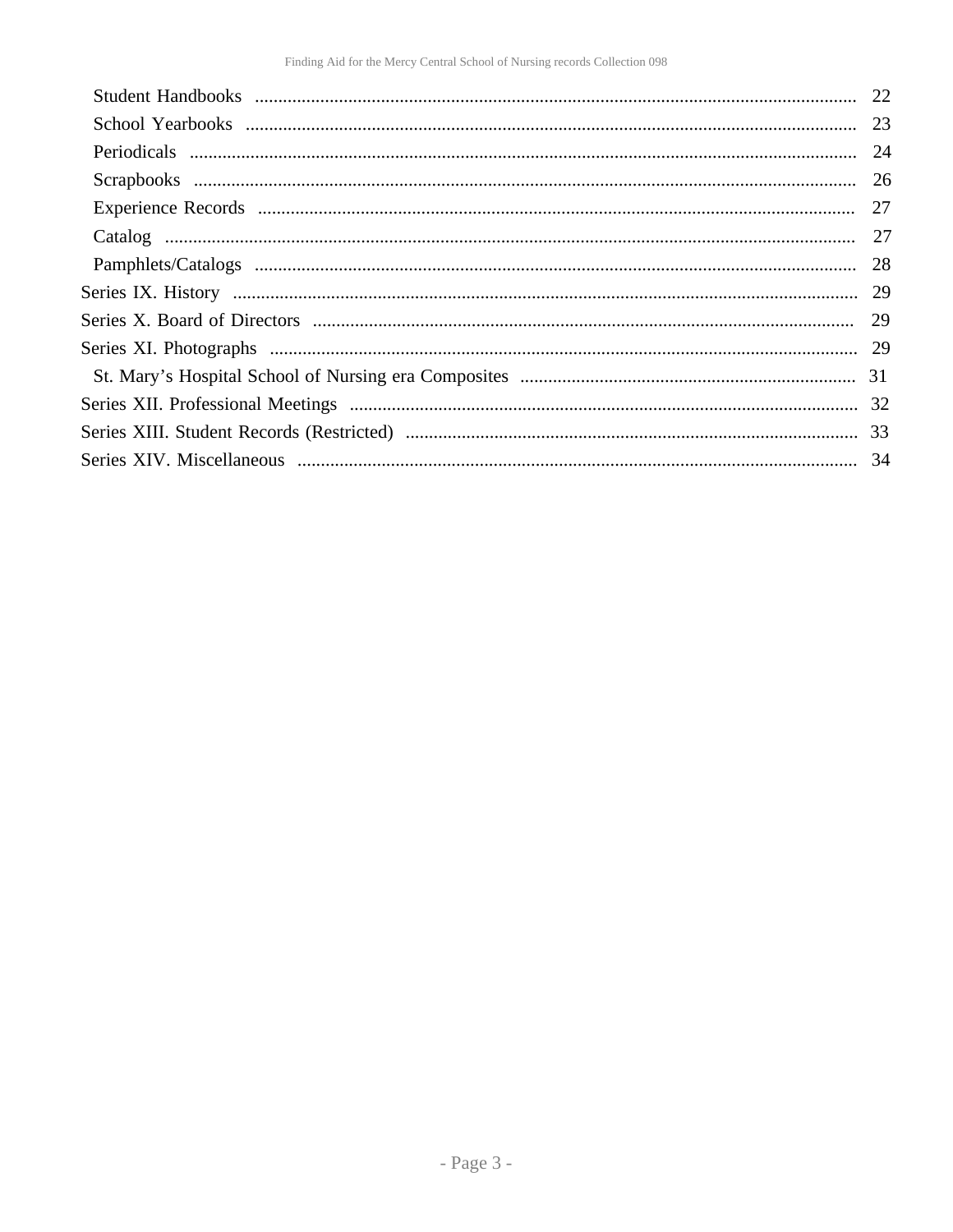| 23 |
|----|
|    |
|    |
| 27 |
|    |
|    |
|    |
|    |
|    |
| 31 |
|    |
|    |
|    |
|    |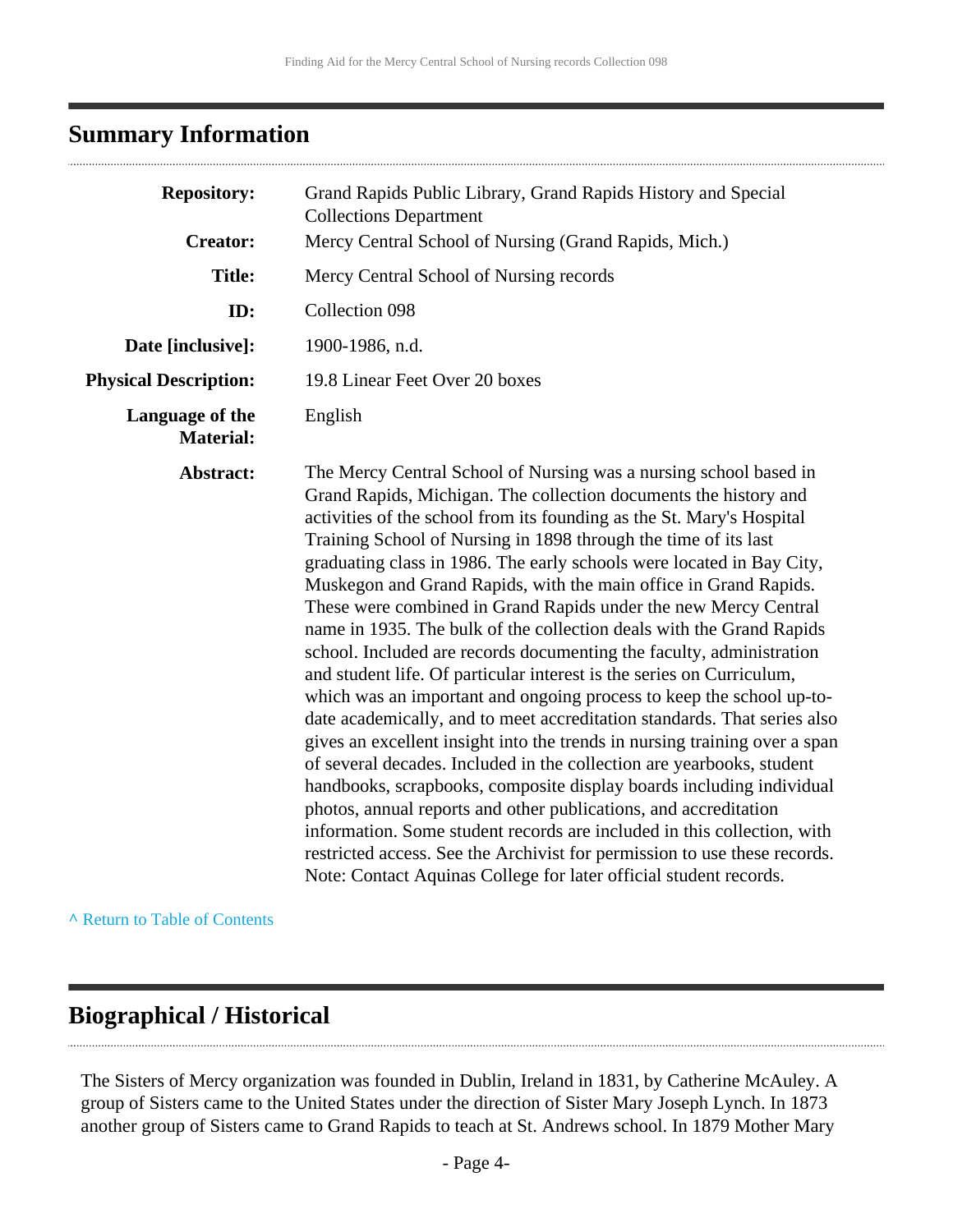## <span id="page-3-0"></span>**Summary Information**

| <b>Repository:</b>                  | Grand Rapids Public Library, Grand Rapids History and Special<br><b>Collections Department</b>                                                                                                                                                                                                                                                                                                                                                                                                                                                                                                                                                                                                                                                                                                                                                                                                                                                                                                                                                                                                                                                                                                                                                                                                                                                                                                                 |
|-------------------------------------|----------------------------------------------------------------------------------------------------------------------------------------------------------------------------------------------------------------------------------------------------------------------------------------------------------------------------------------------------------------------------------------------------------------------------------------------------------------------------------------------------------------------------------------------------------------------------------------------------------------------------------------------------------------------------------------------------------------------------------------------------------------------------------------------------------------------------------------------------------------------------------------------------------------------------------------------------------------------------------------------------------------------------------------------------------------------------------------------------------------------------------------------------------------------------------------------------------------------------------------------------------------------------------------------------------------------------------------------------------------------------------------------------------------|
| <b>Creator:</b>                     | Mercy Central School of Nursing (Grand Rapids, Mich.)                                                                                                                                                                                                                                                                                                                                                                                                                                                                                                                                                                                                                                                                                                                                                                                                                                                                                                                                                                                                                                                                                                                                                                                                                                                                                                                                                          |
| <b>Title:</b>                       | Mercy Central School of Nursing records                                                                                                                                                                                                                                                                                                                                                                                                                                                                                                                                                                                                                                                                                                                                                                                                                                                                                                                                                                                                                                                                                                                                                                                                                                                                                                                                                                        |
| ID:                                 | Collection 098                                                                                                                                                                                                                                                                                                                                                                                                                                                                                                                                                                                                                                                                                                                                                                                                                                                                                                                                                                                                                                                                                                                                                                                                                                                                                                                                                                                                 |
| Date [inclusive]:                   | 1900-1986, n.d.                                                                                                                                                                                                                                                                                                                                                                                                                                                                                                                                                                                                                                                                                                                                                                                                                                                                                                                                                                                                                                                                                                                                                                                                                                                                                                                                                                                                |
| <b>Physical Description:</b>        | 19.8 Linear Feet Over 20 boxes                                                                                                                                                                                                                                                                                                                                                                                                                                                                                                                                                                                                                                                                                                                                                                                                                                                                                                                                                                                                                                                                                                                                                                                                                                                                                                                                                                                 |
| Language of the<br><b>Material:</b> | English                                                                                                                                                                                                                                                                                                                                                                                                                                                                                                                                                                                                                                                                                                                                                                                                                                                                                                                                                                                                                                                                                                                                                                                                                                                                                                                                                                                                        |
| Abstract:                           | The Mercy Central School of Nursing was a nursing school based in<br>Grand Rapids, Michigan. The collection documents the history and<br>activities of the school from its founding as the St. Mary's Hospital<br>Training School of Nursing in 1898 through the time of its last<br>graduating class in 1986. The early schools were located in Bay City,<br>Muskegon and Grand Rapids, with the main office in Grand Rapids.<br>These were combined in Grand Rapids under the new Mercy Central<br>name in 1935. The bulk of the collection deals with the Grand Rapids<br>school. Included are records documenting the faculty, administration<br>and student life. Of particular interest is the series on Curriculum,<br>which was an important and ongoing process to keep the school up-to-<br>date academically, and to meet accreditation standards. That series also<br>gives an excellent insight into the trends in nursing training over a span<br>of several decades. Included in the collection are yearbooks, student<br>handbooks, scrapbooks, composite display boards including individual<br>photos, annual reports and other publications, and accreditation<br>information. Some student records are included in this collection, with<br>restricted access. See the Archivist for permission to use these records.<br>Note: Contact Aquinas College for later official student records. |

**^** [Return to Table of Contents](#page-1-0)

## <span id="page-3-1"></span>**Biographical / Historical**

The Sisters of Mercy organization was founded in Dublin, Ireland in 1831, by Catherine McAuley. A group of Sisters came to the United States under the direction of Sister Mary Joseph Lynch. In 1873 another group of Sisters came to Grand Rapids to teach at St. Andrews school. In 1879 Mother Mary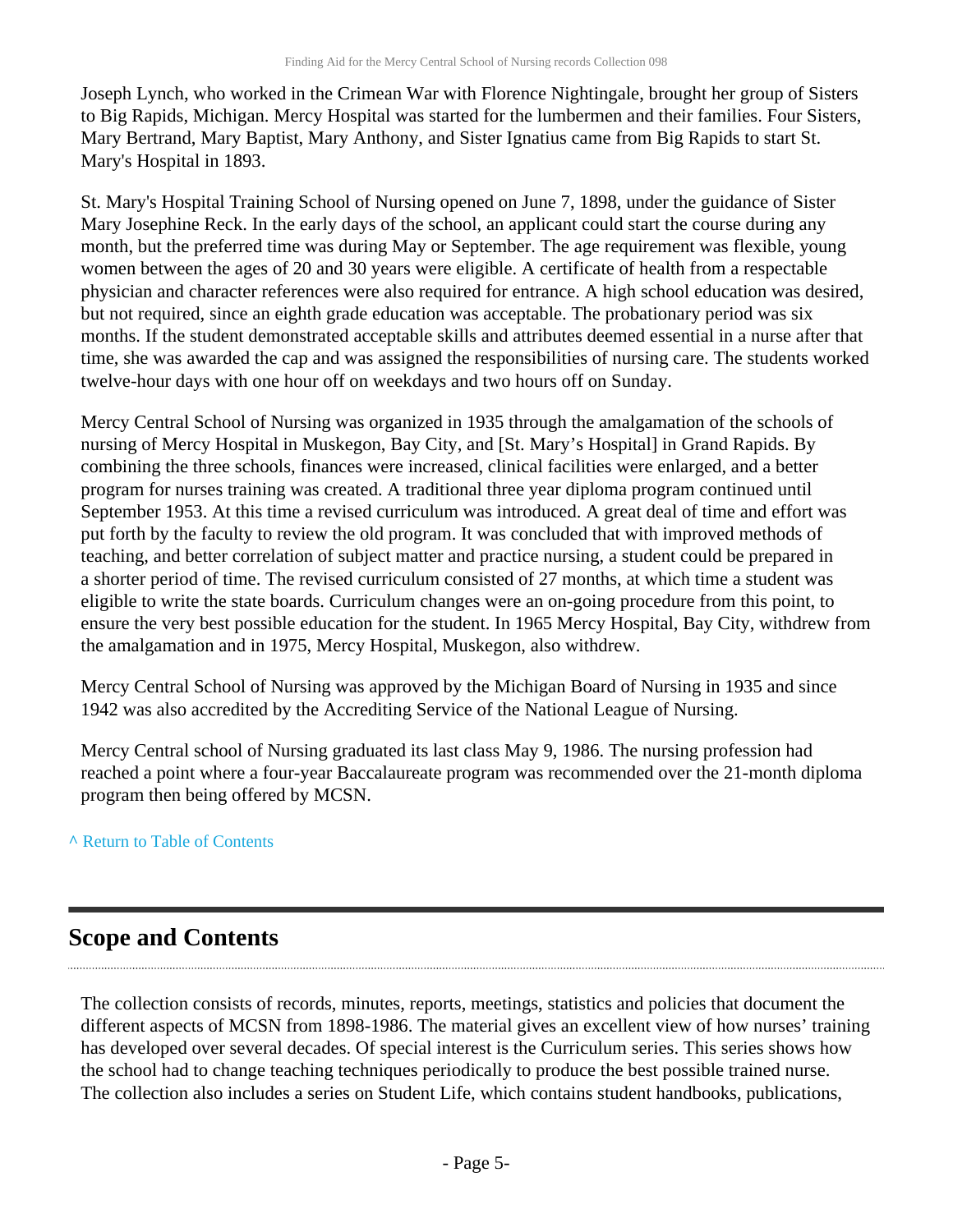Joseph Lynch, who worked in the Crimean War with Florence Nightingale, brought her group of Sisters to Big Rapids, Michigan. Mercy Hospital was started for the lumbermen and their families. Four Sisters, Mary Bertrand, Mary Baptist, Mary Anthony, and Sister Ignatius came from Big Rapids to start St. Mary's Hospital in 1893.

St. Mary's Hospital Training School of Nursing opened on June 7, 1898, under the guidance of Sister Mary Josephine Reck. In the early days of the school, an applicant could start the course during any month, but the preferred time was during May or September. The age requirement was flexible, young women between the ages of 20 and 30 years were eligible. A certificate of health from a respectable physician and character references were also required for entrance. A high school education was desired, but not required, since an eighth grade education was acceptable. The probationary period was six months. If the student demonstrated acceptable skills and attributes deemed essential in a nurse after that time, she was awarded the cap and was assigned the responsibilities of nursing care. The students worked twelve-hour days with one hour off on weekdays and two hours off on Sunday.

Mercy Central School of Nursing was organized in 1935 through the amalgamation of the schools of nursing of Mercy Hospital in Muskegon, Bay City, and [St. Mary's Hospital] in Grand Rapids. By combining the three schools, finances were increased, clinical facilities were enlarged, and a better program for nurses training was created. A traditional three year diploma program continued until September 1953. At this time a revised curriculum was introduced. A great deal of time and effort was put forth by the faculty to review the old program. It was concluded that with improved methods of teaching, and better correlation of subject matter and practice nursing, a student could be prepared in a shorter period of time. The revised curriculum consisted of 27 months, at which time a student was eligible to write the state boards. Curriculum changes were an on-going procedure from this point, to ensure the very best possible education for the student. In 1965 Mercy Hospital, Bay City, withdrew from the amalgamation and in 1975, Mercy Hospital, Muskegon, also withdrew.

Mercy Central School of Nursing was approved by the Michigan Board of Nursing in 1935 and since 1942 was also accredited by the Accrediting Service of the National League of Nursing.

Mercy Central school of Nursing graduated its last class May 9, 1986. The nursing profession had reached a point where a four-year Baccalaureate program was recommended over the 21-month diploma program then being offered by MCSN.

### **^** [Return to Table of Contents](#page-1-0)

## <span id="page-4-0"></span>**Scope and Contents**

The collection consists of records, minutes, reports, meetings, statistics and policies that document the different aspects of MCSN from 1898-1986. The material gives an excellent view of how nurses' training has developed over several decades. Of special interest is the Curriculum series. This series shows how the school had to change teaching techniques periodically to produce the best possible trained nurse. The collection also includes a series on Student Life, which contains student handbooks, publications,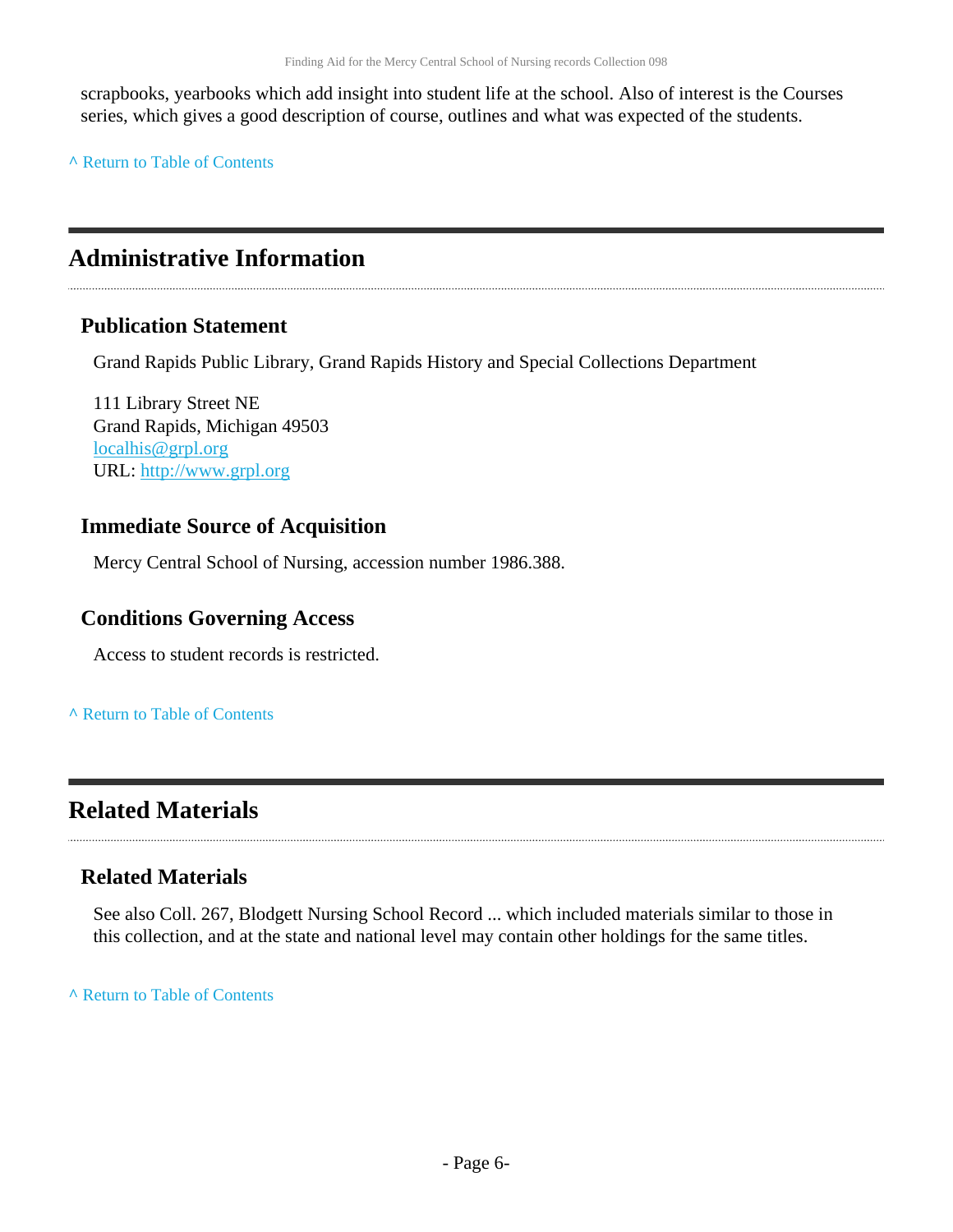scrapbooks, yearbooks which add insight into student life at the school. Also of interest is the Courses series, which gives a good description of course, outlines and what was expected of the students.

**^** [Return to Table of Contents](#page-1-0)

## <span id="page-5-0"></span>**Administrative Information**

### **Publication Statement**

Grand Rapids Public Library, Grand Rapids History and Special Collections Department

111 Library Street NE Grand Rapids, Michigan 49503 [localhis@grpl.org](mailto:localhis@grpl.org) URL:<http://www.grpl.org>

## **Immediate Source of Acquisition**

Mercy Central School of Nursing, accession number 1986.388.

## **Conditions Governing Access**

Access to student records is restricted.

**^** [Return to Table of Contents](#page-1-0)

## <span id="page-5-1"></span>**Related Materials**

## **Related Materials**

See also Coll. 267, Blodgett Nursing School Record ... which included materials similar to those in this collection, and at the state and national level may contain other holdings for the same titles.

**^** [Return to Table of Contents](#page-1-0)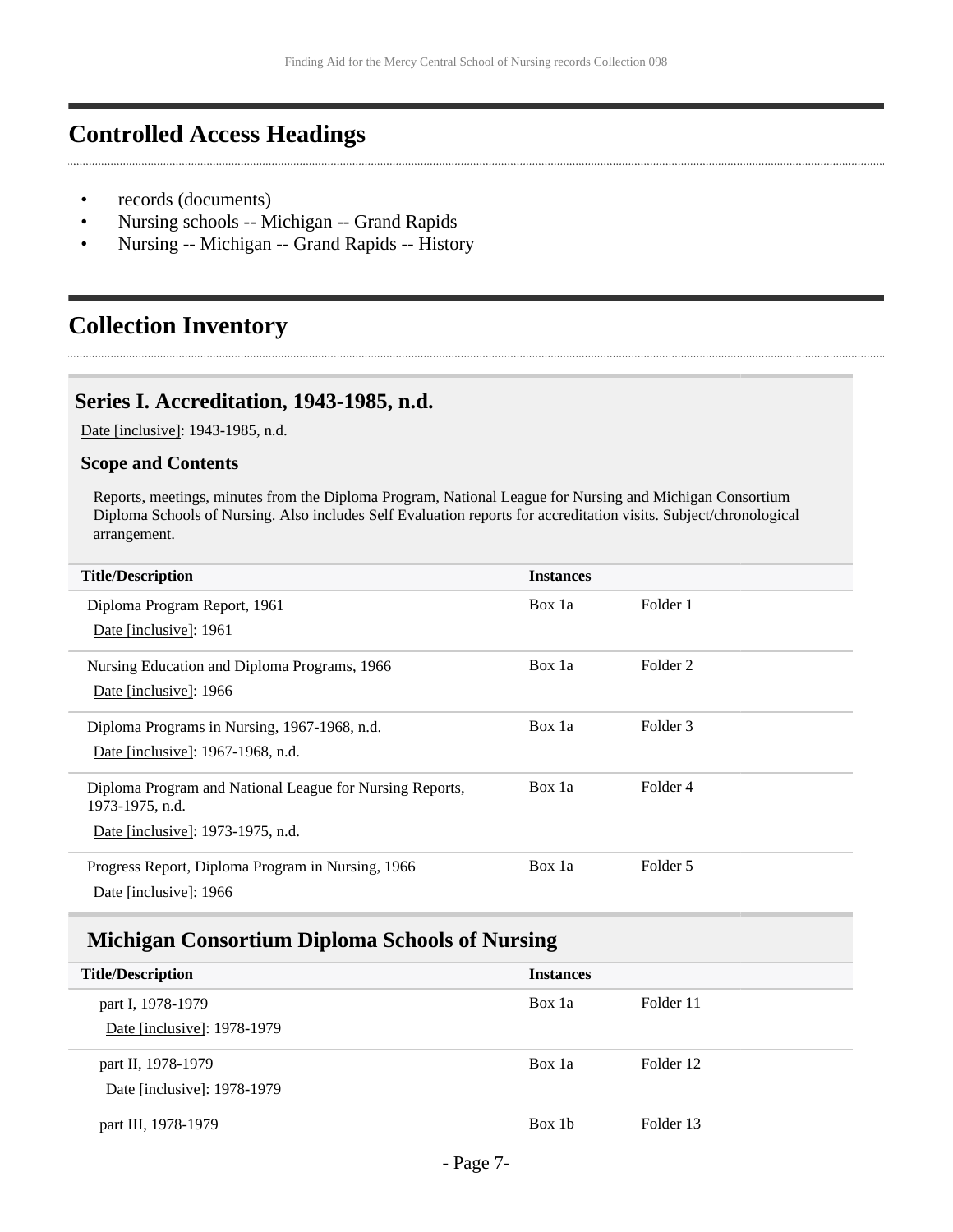## <span id="page-6-0"></span>**Controlled Access Headings**

- records (documents)
- Nursing schools -- Michigan -- Grand Rapids
- Nursing -- Michigan -- Grand Rapids -- History

## <span id="page-6-1"></span>**Collection Inventory**

### <span id="page-6-2"></span>**Series I. Accreditation, 1943-1985, n.d.**

Date [inclusive]: 1943-1985, n.d.

#### **Scope and Contents**

Reports, meetings, minutes from the Diploma Program, National League for Nursing and Michigan Consortium Diploma Schools of Nursing. Also includes Self Evaluation reports for accreditation visits. Subject/chronological arrangement.

| <b>Title/Description</b>                                                                                         | <b>Instances</b> |          |
|------------------------------------------------------------------------------------------------------------------|------------------|----------|
| Diploma Program Report, 1961<br>Date [inclusive]: 1961                                                           | Box 1a           | Folder 1 |
| Nursing Education and Diploma Programs, 1966<br>Date [inclusive]: 1966                                           | Box 1a           | Folder 2 |
| Diploma Programs in Nursing, 1967-1968, n.d.<br>Date [inclusive]: 1967-1968, n.d.                                | Box 1a           | Folder 3 |
| Diploma Program and National League for Nursing Reports,<br>1973-1975, n.d.<br>Date [inclusive]: 1973-1975, n.d. | Box 1a           | Folder 4 |
| Progress Report, Diploma Program in Nursing, 1966<br>Date [inclusive]: 1966                                      | Box 1a           | Folder 5 |

### <span id="page-6-3"></span>**Michigan Consortium Diploma Schools of Nursing**

| <b>Title/Description</b>    | <b>Instances</b> |           |
|-----------------------------|------------------|-----------|
| part I, 1978-1979           | Box 1a           | Folder 11 |
| Date [inclusive]: 1978-1979 |                  |           |
| part II, 1978-1979          | Box 1a           | Folder 12 |
| Date [inclusive]: 1978-1979 |                  |           |
| part III, 1978-1979         | Box 1b           | Folder 13 |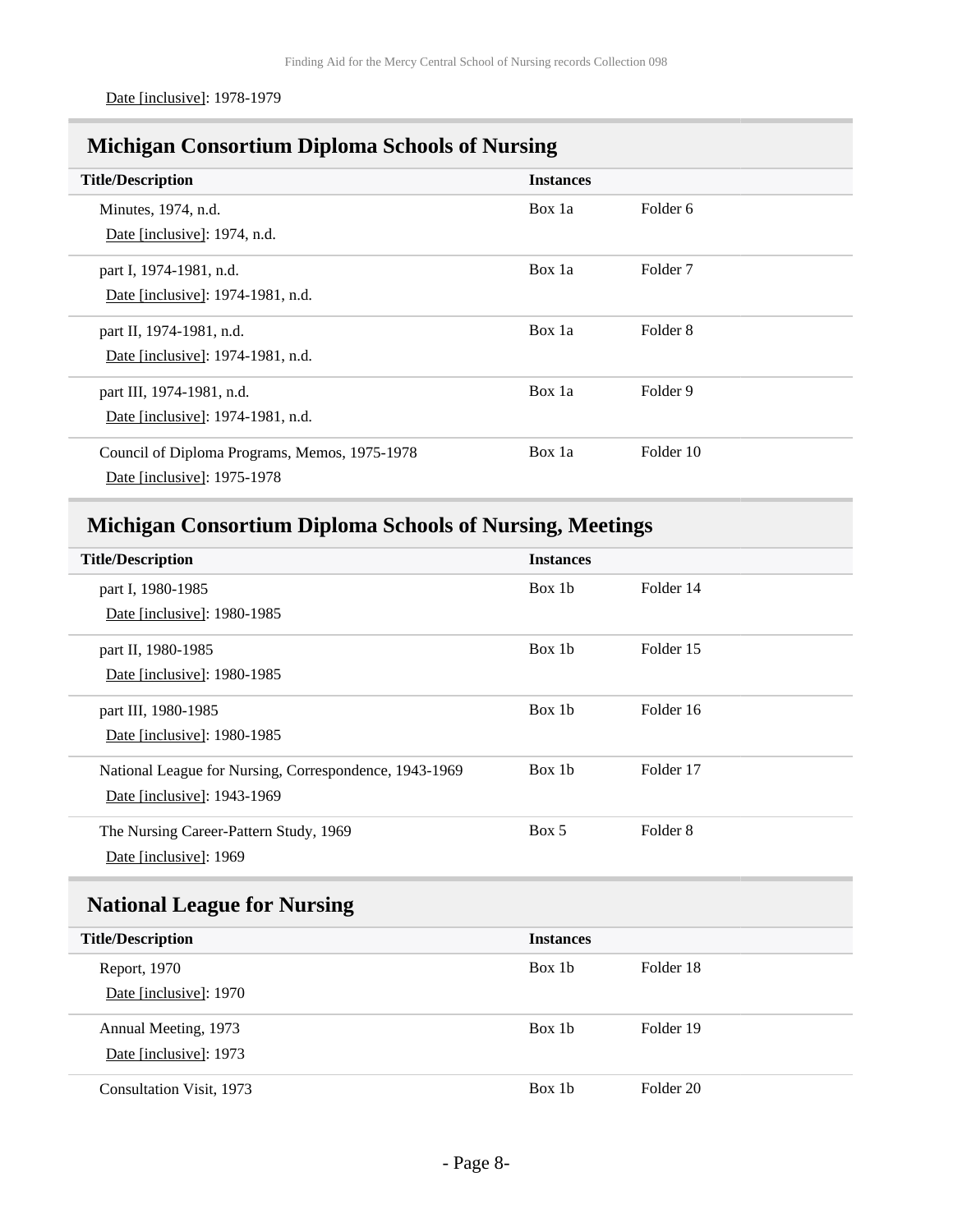Date [inclusive]: 1978-1979

## <span id="page-7-0"></span>**Michigan Consortium Diploma Schools of Nursing**

| <b>Title/Description</b>                      | <b>Instances</b> |                     |
|-----------------------------------------------|------------------|---------------------|
| Minutes, 1974, n.d.                           | Box 1a           | Folder 6            |
| Date [inclusive]: 1974, n.d.                  |                  |                     |
| part I, 1974-1981, n.d.                       | Box 1a           | Folder <sub>7</sub> |
| Date [inclusive]: 1974-1981, n.d.             |                  |                     |
| part II, 1974-1981, n.d.                      | Box 1a           | Folder 8            |
| Date [inclusive]: 1974-1981, n.d.             |                  |                     |
| part III, 1974-1981, n.d.                     | Box 1a           | Folder 9            |
| Date [inclusive]: 1974-1981, n.d.             |                  |                     |
| Council of Diploma Programs, Memos, 1975-1978 | Box 1a           | Folder 10           |
| Date [inclusive]: 1975-1978                   |                  |                     |

## <span id="page-7-1"></span>**Michigan Consortium Diploma Schools of Nursing, Meetings**

| <b>Title/Description</b>                               | <b>Instances</b> |                     |
|--------------------------------------------------------|------------------|---------------------|
| part I, 1980-1985                                      | Box 1b           | Folder 14           |
| Date [inclusive]: 1980-1985                            |                  |                     |
| part II, 1980-1985                                     | Box 1b           | Folder 15           |
| Date [inclusive]: 1980-1985                            |                  |                     |
| part III, 1980-1985                                    | Box 1b           | Folder 16           |
| Date [inclusive]: 1980-1985                            |                  |                     |
| National League for Nursing, Correspondence, 1943-1969 | Box 1b           | Folder 17           |
| Date [inclusive]: 1943-1969                            |                  |                     |
| The Nursing Career-Pattern Study, 1969                 | Box 5            | Folder <sub>8</sub> |
| Date [inclusive]: 1969                                 |                  |                     |

## <span id="page-7-2"></span>**National League for Nursing**

| <b>Title/Description</b> | <b>Instances</b> |           |
|--------------------------|------------------|-----------|
| Report, 1970             | Box 1b           | Folder 18 |
| Date [inclusive]: 1970   |                  |           |
| Annual Meeting, 1973     | Box 1b           | Folder 19 |
| Date [inclusive]: 1973   |                  |           |
| Consultation Visit, 1973 | Box 1b           | Folder 20 |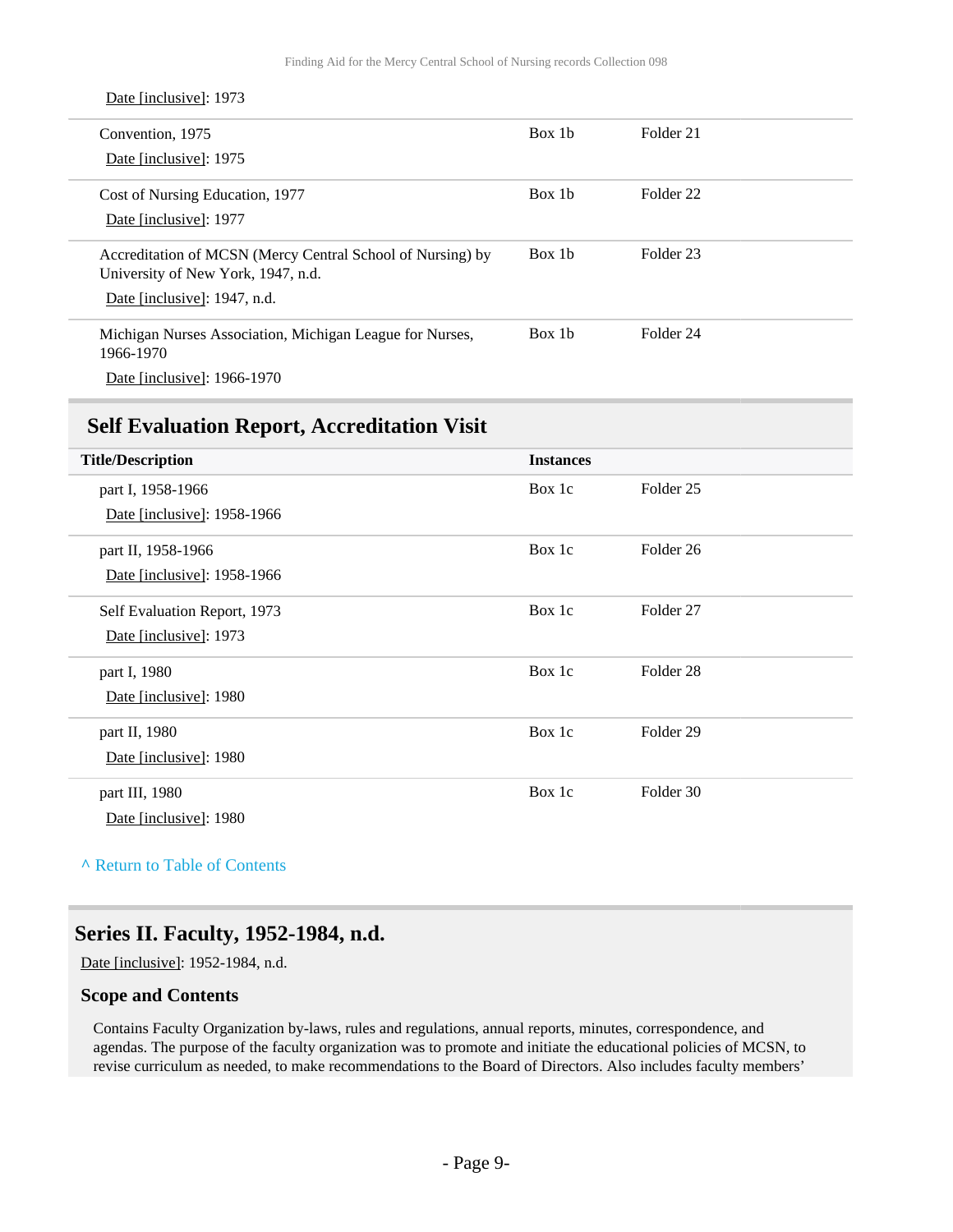| Date [inclusive]: 1973                                                                                                           |                    |                      |
|----------------------------------------------------------------------------------------------------------------------------------|--------------------|----------------------|
| Convention, 1975<br>Date [inclusive]: 1975                                                                                       | Box 1 <sub>b</sub> | Folder 21            |
| Cost of Nursing Education, 1977<br>Date [inclusive]: 1977                                                                        | Box 1b             | Folder <sub>22</sub> |
| Accreditation of MCSN (Mercy Central School of Nursing) by<br>University of New York, 1947, n.d.<br>Date [inclusive]: 1947, n.d. | Box 1 <sub>b</sub> | Folder 23            |
| Michigan Nurses Association, Michigan League for Nurses,<br>1966-1970<br>Date [inclusive]: 1966-1970                             | Box 1b             | Folder 24            |

### <span id="page-8-0"></span>**Self Evaluation Report, Accreditation Visit**

| <b>Title/Description</b>     | <b>Instances</b> |                      |
|------------------------------|------------------|----------------------|
| part I, 1958-1966            | Box 1c           | Folder 25            |
| Date [inclusive]: 1958-1966  |                  |                      |
| part II, 1958-1966           | Box 1c           | Folder <sub>26</sub> |
| Date [inclusive]: 1958-1966  |                  |                      |
| Self Evaluation Report, 1973 | Box 1c           | Folder 27            |
| Date [inclusive]: 1973       |                  |                      |
| part I, 1980                 | Box 1c           | Folder <sub>28</sub> |
| Date [inclusive]: 1980       |                  |                      |
| part II, 1980                | Box 1c           | Folder <sub>29</sub> |
| Date [inclusive]: 1980       |                  |                      |
| part III, 1980               | Box 1c           | Folder 30            |
| Date [inclusive]: 1980       |                  |                      |

**^** [Return to Table of Contents](#page-1-0)

### <span id="page-8-1"></span>**Series II. Faculty, 1952-1984, n.d.**

Date [inclusive]: 1952-1984, n.d.

#### **Scope and Contents**

Contains Faculty Organization by-laws, rules and regulations, annual reports, minutes, correspondence, and agendas. The purpose of the faculty organization was to promote and initiate the educational policies of MCSN, to revise curriculum as needed, to make recommendations to the Board of Directors. Also includes faculty members'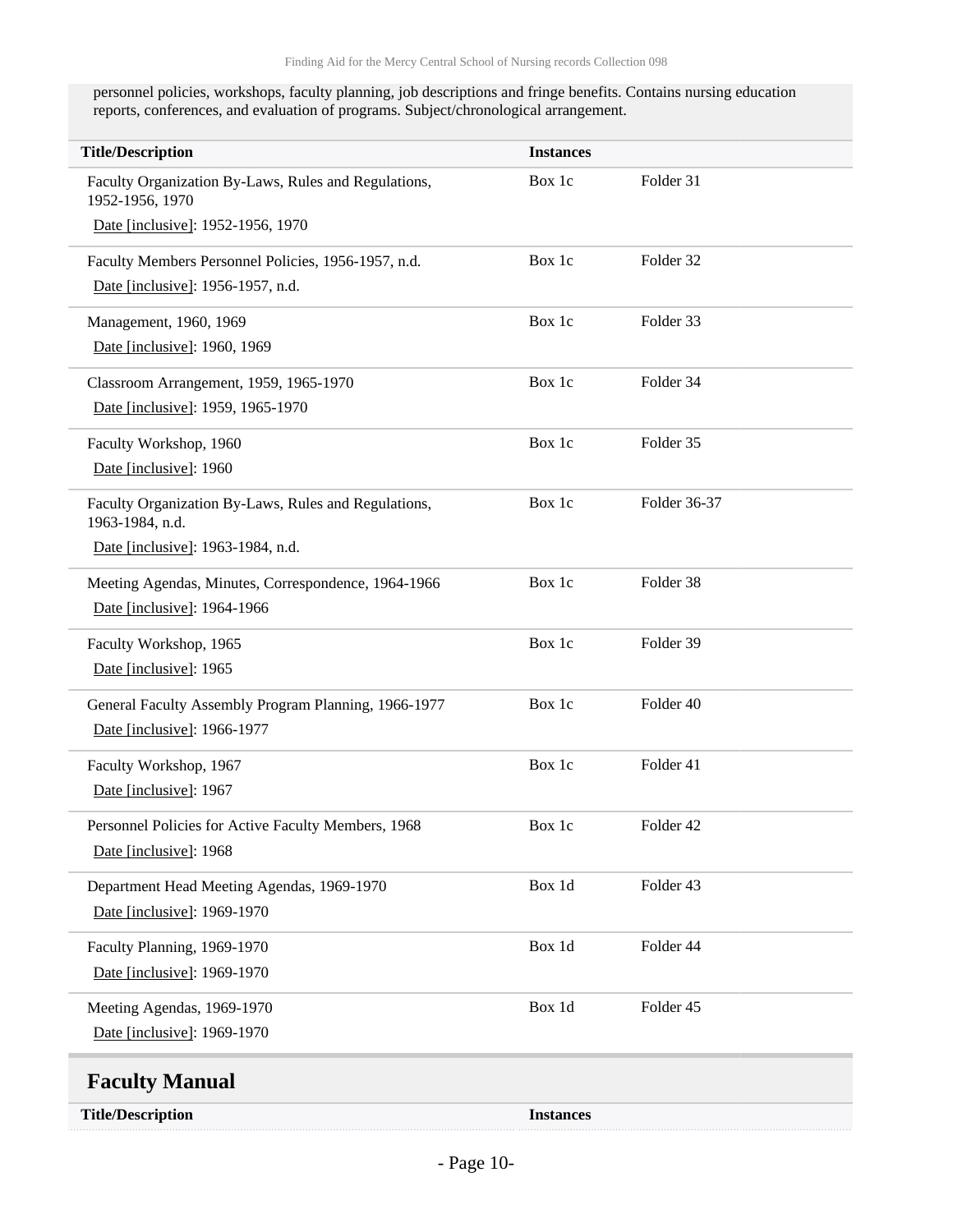personnel policies, workshops, faculty planning, job descriptions and fringe benefits. Contains nursing education reports, conferences, and evaluation of programs. Subject/chronological arrangement.

<span id="page-9-0"></span>

| <b>Title/Description</b>                                                | <b>Instances</b> |              |
|-------------------------------------------------------------------------|------------------|--------------|
| Faculty Organization By-Laws, Rules and Regulations,<br>1952-1956, 1970 | Box 1c           | Folder 31    |
| Date [inclusive]: 1952-1956, 1970                                       |                  |              |
| Faculty Members Personnel Policies, 1956-1957, n.d.                     | Box 1c           | Folder 32    |
| Date [inclusive]: 1956-1957, n.d.                                       |                  |              |
| Management, 1960, 1969                                                  | Box 1c           | Folder 33    |
| Date [inclusive]: 1960, 1969                                            |                  |              |
| Classroom Arrangement, 1959, 1965-1970                                  | Box 1c           | Folder 34    |
| Date [inclusive]: 1959, 1965-1970                                       |                  |              |
| Faculty Workshop, 1960                                                  | Box 1c           | Folder 35    |
| Date [inclusive]: 1960                                                  |                  |              |
| Faculty Organization By-Laws, Rules and Regulations,<br>1963-1984, n.d. | Box 1c           | Folder 36-37 |
| Date [inclusive]: 1963-1984, n.d.                                       |                  |              |
| Meeting Agendas, Minutes, Correspondence, 1964-1966                     | Box 1c           | Folder 38    |
| Date [inclusive]: 1964-1966                                             |                  |              |
| Faculty Workshop, 1965                                                  | Box 1c           | Folder 39    |
| Date [inclusive]: 1965                                                  |                  |              |
| General Faculty Assembly Program Planning, 1966-1977                    | Box 1c           | Folder 40    |
| Date [inclusive]: 1966-1977                                             |                  |              |
| Faculty Workshop, 1967                                                  | Box 1c           | Folder 41    |
| Date [inclusive]: 1967                                                  |                  |              |
| Personnel Policies for Active Faculty Members, 1968                     | Box 1c           | Folder 42    |
| Date [inclusive]: 1968                                                  |                  |              |
| Department Head Meeting Agendas, 1969-1970                              | Box 1d           | Folder 43    |
| Date [inclusive]: 1969-1970                                             |                  |              |
| Faculty Planning, 1969-1970                                             | Box 1d           | Folder 44    |
| Date [inclusive]: 1969-1970                                             |                  |              |
| Meeting Agendas, 1969-1970                                              | Box 1d           | Folder 45    |
| Date [inclusive]: 1969-1970                                             |                  |              |
| <b>Faculty Manual</b>                                                   |                  |              |
| <b>Title/Description</b>                                                | <b>Instances</b> |              |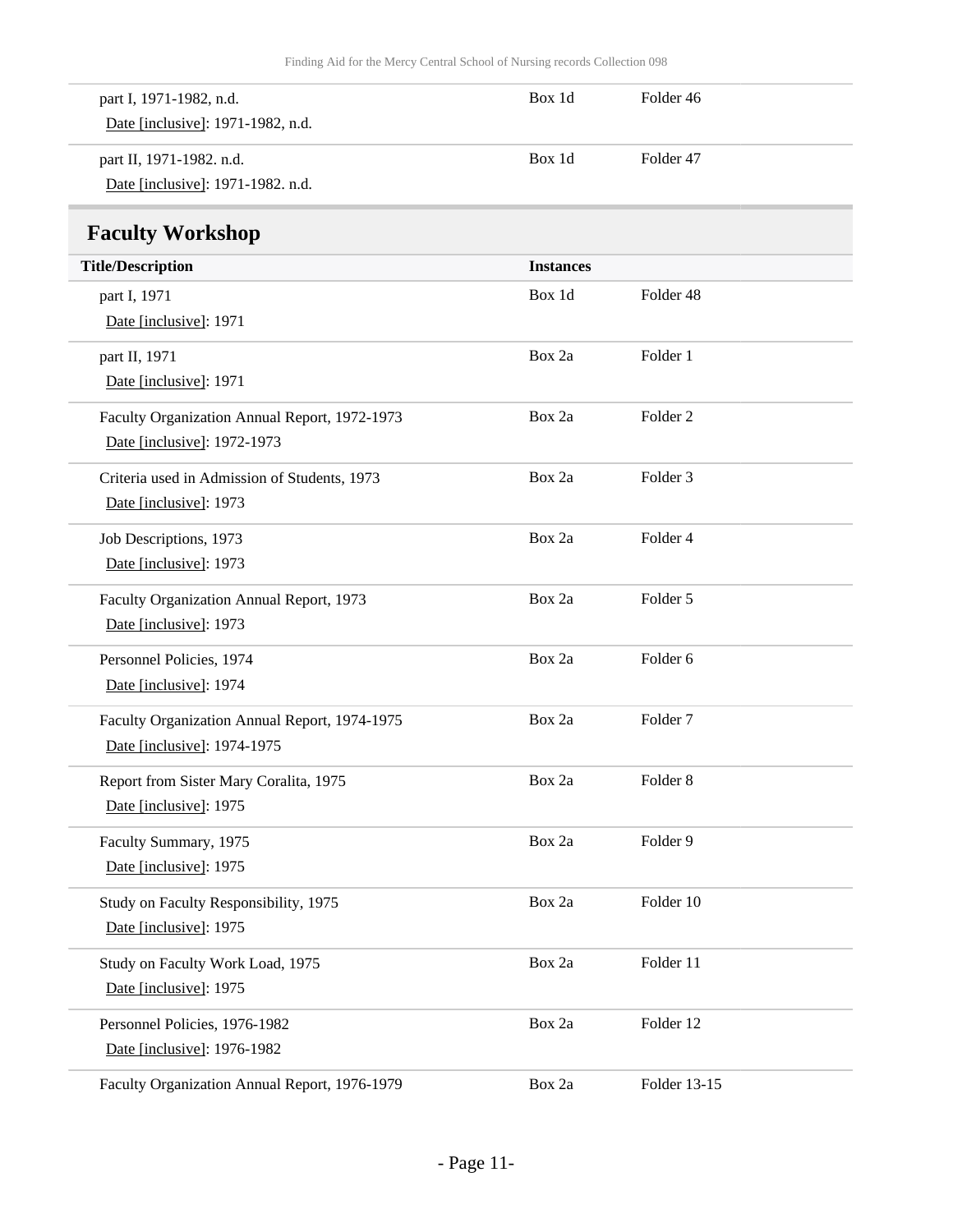<span id="page-10-0"></span>

| part I, 1971-1982, n.d.<br>Date [inclusive]: 1971-1982, n.d.                 | Box 1d           | Folder 46           |
|------------------------------------------------------------------------------|------------------|---------------------|
| part II, 1971-1982. n.d.<br>Date [inclusive]: 1971-1982. n.d.                | Box 1d           | Folder 47           |
| <b>Faculty Workshop</b>                                                      |                  |                     |
| <b>Title/Description</b>                                                     | <b>Instances</b> |                     |
| part I, 1971<br>Date [inclusive]: 1971                                       | Box 1d           | Folder 48           |
| part II, 1971<br>Date [inclusive]: 1971                                      | Box 2a           | Folder 1            |
| Faculty Organization Annual Report, 1972-1973<br>Date [inclusive]: 1972-1973 | Box 2a           | Folder <sub>2</sub> |
| Criteria used in Admission of Students, 1973<br>Date [inclusive]: 1973       | Box 2a           | Folder <sub>3</sub> |
| Job Descriptions, 1973<br>Date [inclusive]: 1973                             | Box 2a           | Folder 4            |
| Faculty Organization Annual Report, 1973<br>Date [inclusive]: 1973           | Box 2a           | Folder 5            |
| Personnel Policies, 1974<br>Date [inclusive]: 1974                           | Box 2a           | Folder 6            |
| Faculty Organization Annual Report, 1974-1975<br>Date [inclusive]: 1974-1975 | Box 2a           | Folder <sub>7</sub> |
| Report from Sister Mary Coralita, 1975<br>Date [inclusive]: 1975             | Box 2a           | Folder <sub>8</sub> |
| Faculty Summary, 1975<br>Date [inclusive]: 1975                              | Box 2a           | Folder 9            |
| Study on Faculty Responsibility, 1975<br>Date [inclusive]: 1975              | Box 2a           | Folder 10           |
| Study on Faculty Work Load, 1975<br>Date [inclusive]: 1975                   | Box 2a           | Folder 11           |
| Personnel Policies, 1976-1982<br>Date [inclusive]: 1976-1982                 | Box 2a           | Folder 12           |
| Faculty Organization Annual Report, 1976-1979                                | Box 2a           | Folder 13-15        |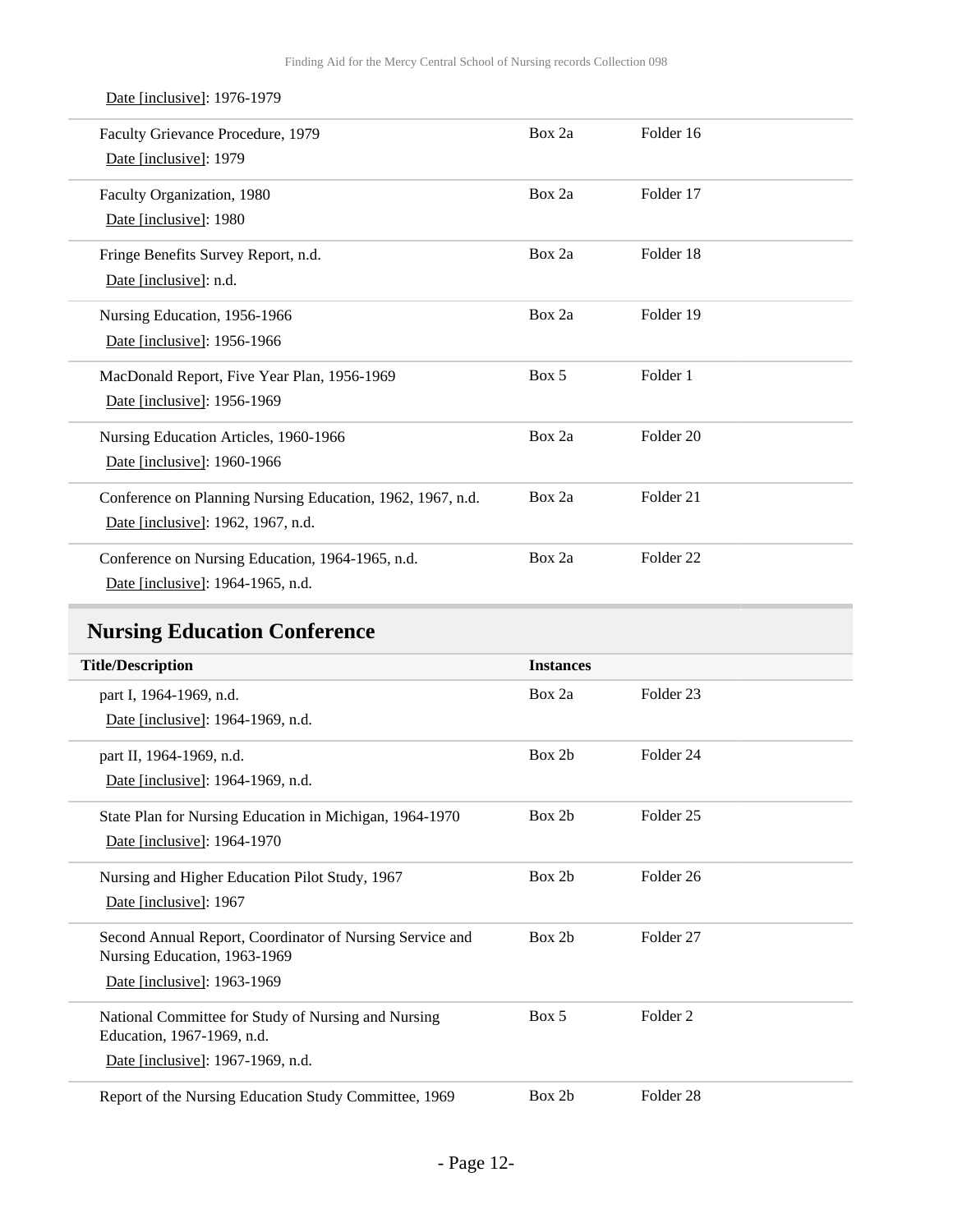| Faculty Grievance Procedure, 1979<br>Date [inclusive]: 1979                                      | Box 2a | Folder 16            |
|--------------------------------------------------------------------------------------------------|--------|----------------------|
| Faculty Organization, 1980<br>Date [inclusive]: 1980                                             | Box 2a | Folder 17            |
| Fringe Benefits Survey Report, n.d.<br>Date [inclusive]: n.d.                                    | Box 2a | Folder 18            |
| Nursing Education, 1956-1966<br>Date [inclusive]: 1956-1966                                      | Box 2a | Folder 19            |
| MacDonald Report, Five Year Plan, 1956-1969<br>Date [inclusive]: 1956-1969                       | Box 5  | Folder 1             |
| Nursing Education Articles, 1960-1966<br>Date [inclusive]: 1960-1966                             | Box 2a | Folder 20            |
| Conference on Planning Nursing Education, 1962, 1967, n.d.<br>Date [inclusive]: 1962, 1967, n.d. | Box 2a | Folder 21            |
| Conference on Nursing Education, 1964-1965, n.d.<br>Date [inclusive]: 1964-1965, n.d.            | Box 2a | Folder <sub>22</sub> |

## <span id="page-11-0"></span>**Nursing Education Conference**

| <b>Title/Description</b>                                 | <b>Instances</b> |                      |  |
|----------------------------------------------------------|------------------|----------------------|--|
| part I, 1964-1969, n.d.                                  | Box 2a           | Folder <sub>23</sub> |  |
| Date [inclusive]: 1964-1969, n.d.                        |                  |                      |  |
| part II, 1964-1969, n.d.                                 | Box 2b           | Folder 24            |  |
| Date [inclusive]: 1964-1969, n.d.                        |                  |                      |  |
| State Plan for Nursing Education in Michigan, 1964-1970  | Box 2b           | Folder <sub>25</sub> |  |
| Date [inclusive]: 1964-1970                              |                  |                      |  |
| Nursing and Higher Education Pilot Study, 1967           | Box 2b           | Folder <sub>26</sub> |  |
| Date [inclusive]: 1967                                   |                  |                      |  |
| Second Annual Report, Coordinator of Nursing Service and | Box 2b           | Folder <sub>27</sub> |  |
| Nursing Education, 1963-1969                             |                  |                      |  |
| Date [inclusive]: 1963-1969                              |                  |                      |  |
| National Committee for Study of Nursing and Nursing      | Box 5            | Folder <sub>2</sub>  |  |
| Education, 1967-1969, n.d.                               |                  |                      |  |
| Date [inclusive]: 1967-1969, n.d.                        |                  |                      |  |
| Report of the Nursing Education Study Committee, 1969    | Box 2b           | Folder <sub>28</sub> |  |

### Date [inclusive]: 1976-1979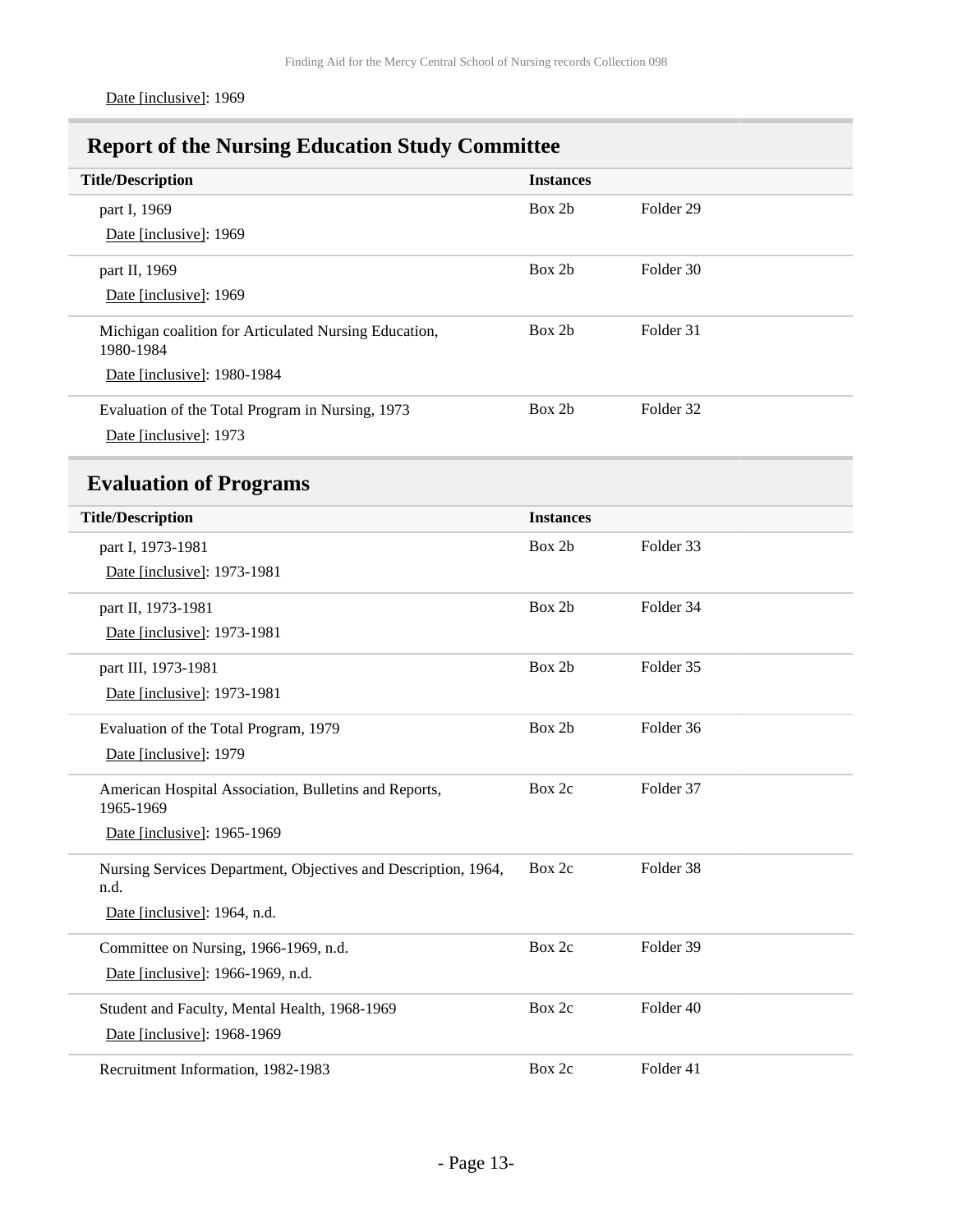## <span id="page-12-0"></span>**Report of the Nursing Education Study Committee**

<span id="page-12-1"></span>

| <b>Title/Description</b>                                               | <b>Instances</b> |                      |
|------------------------------------------------------------------------|------------------|----------------------|
| part I, 1969                                                           | Box 2b           | Folder <sub>29</sub> |
| Date [inclusive]: 1969                                                 |                  |                      |
| part II, 1969                                                          | Box 2b           | Folder 30            |
| Date [inclusive]: 1969                                                 |                  |                      |
| Michigan coalition for Articulated Nursing Education,<br>1980-1984     | Box 2b           | Folder 31            |
| Date [inclusive]: 1980-1984                                            |                  |                      |
| Evaluation of the Total Program in Nursing, 1973                       | Box 2b           | Folder 32            |
| Date [inclusive]: 1973                                                 |                  |                      |
| <b>Evaluation of Programs</b>                                          |                  |                      |
| <b>Title/Description</b>                                               | <b>Instances</b> |                      |
| part I, 1973-1981                                                      | Box 2b           | Folder 33            |
| Date [inclusive]: 1973-1981                                            |                  |                      |
| part II, 1973-1981                                                     | Box 2b           | Folder 34            |
| Date [inclusive]: 1973-1981                                            |                  |                      |
| part III, 1973-1981                                                    | Box 2b           | Folder 35            |
| Date [inclusive]: 1973-1981                                            |                  |                      |
| Evaluation of the Total Program, 1979                                  | Box 2b           | Folder 36            |
| Date [inclusive]: 1979                                                 |                  |                      |
| American Hospital Association, Bulletins and Reports,<br>1965-1969     | Box 2c           | Folder 37            |
| Date [inclusive]: 1965-1969                                            |                  |                      |
| Nursing Services Department, Objectives and Description, 1964,<br>n.d. | Box 2c           | Folder 38            |
| Date [inclusive]: 1964, n.d.                                           |                  |                      |
| Committee on Nursing, 1966-1969, n.d.                                  | Box 2c           | Folder 39            |
| Date [inclusive]: 1966-1969, n.d.                                      |                  |                      |
| Student and Faculty, Mental Health, 1968-1969                          | Box 2c           | Folder 40            |
| Date [inclusive]: 1968-1969                                            |                  |                      |
| Recruitment Information, 1982-1983                                     | Box 2c           | Folder 41            |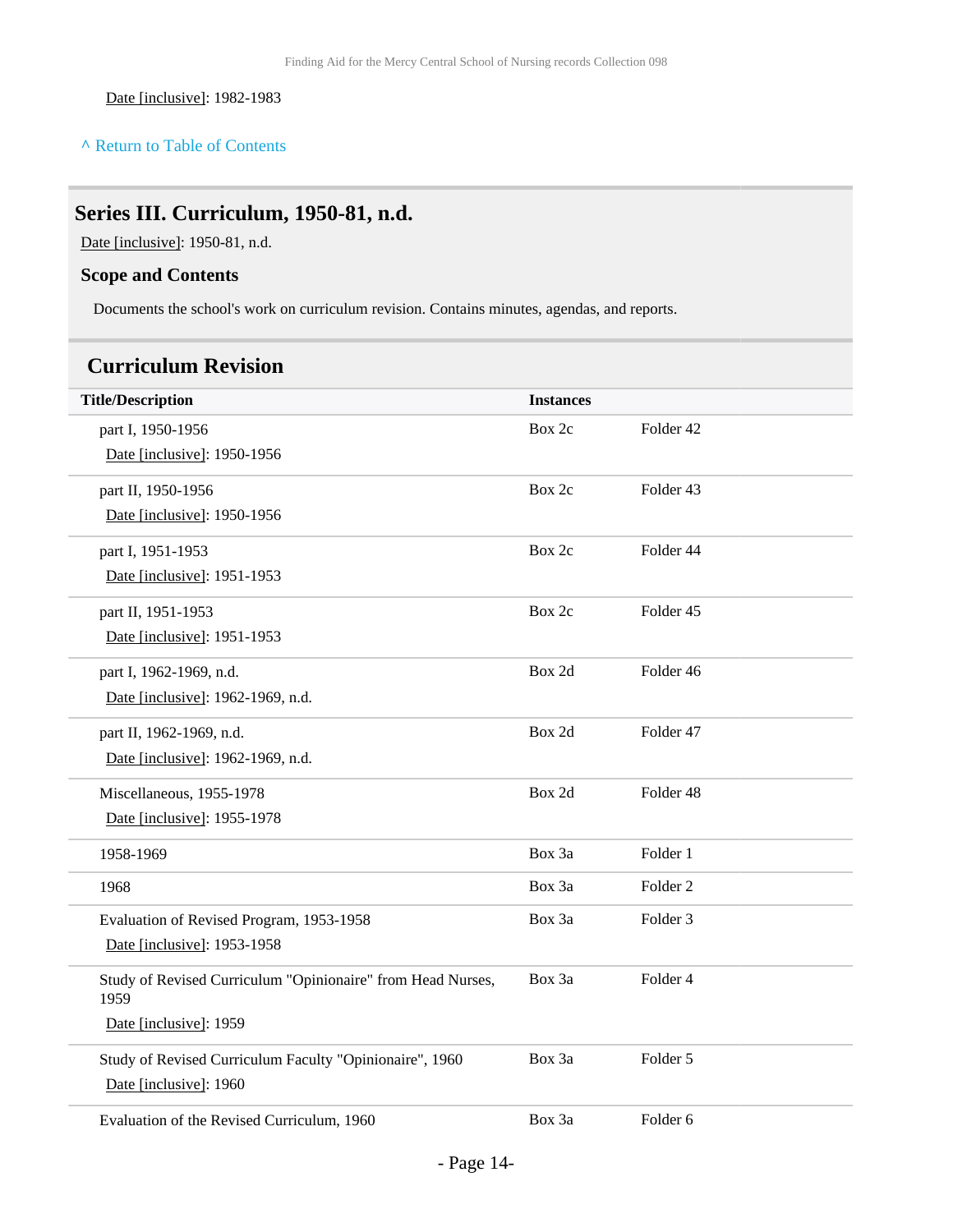Date [inclusive]: 1982-1983

#### **^** [Return to Table of Contents](#page-1-0)

## <span id="page-13-0"></span>**Series III. Curriculum, 1950-81, n.d.**

Date [inclusive]: 1950-81, n.d.

### **Scope and Contents**

Documents the school's work on curriculum revision. Contains minutes, agendas, and reports.

## <span id="page-13-1"></span>**Curriculum Revision**

| <b>Title/Description</b>                                            | <b>Instances</b> |                     |
|---------------------------------------------------------------------|------------------|---------------------|
| part I, 1950-1956                                                   | Box 2c           | Folder 42           |
| Date [inclusive]: 1950-1956                                         |                  |                     |
| part II, 1950-1956                                                  | Box 2c           | Folder 43           |
| Date [inclusive]: 1950-1956                                         |                  |                     |
| part I, 1951-1953                                                   | Box 2c           | Folder 44           |
| Date [inclusive]: 1951-1953                                         |                  |                     |
| part II, 1951-1953                                                  | Box 2c           | Folder 45           |
| Date [inclusive]: 1951-1953                                         |                  |                     |
| part I, 1962-1969, n.d.                                             | Box 2d           | Folder 46           |
| Date [inclusive]: 1962-1969, n.d.                                   |                  |                     |
| part II, 1962-1969, n.d.                                            | Box 2d           | Folder 47           |
| Date [inclusive]: 1962-1969, n.d.                                   |                  |                     |
| Miscellaneous, 1955-1978                                            | Box 2d           | Folder 48           |
| Date [inclusive]: 1955-1978                                         |                  |                     |
| 1958-1969                                                           | Box 3a           | Folder 1            |
| 1968                                                                | Box 3a           | Folder <sub>2</sub> |
| Evaluation of Revised Program, 1953-1958                            | Box 3a           | Folder <sub>3</sub> |
| Date [inclusive]: 1953-1958                                         |                  |                     |
| Study of Revised Curriculum "Opinionaire" from Head Nurses,<br>1959 | Box 3a           | Folder 4            |
| Date [inclusive]: 1959                                              |                  |                     |
| Study of Revised Curriculum Faculty "Opinionaire", 1960             | Box 3a           | Folder 5            |
| Date [inclusive]: 1960                                              |                  |                     |
| Evaluation of the Revised Curriculum, 1960                          | Box 3a           | Folder 6            |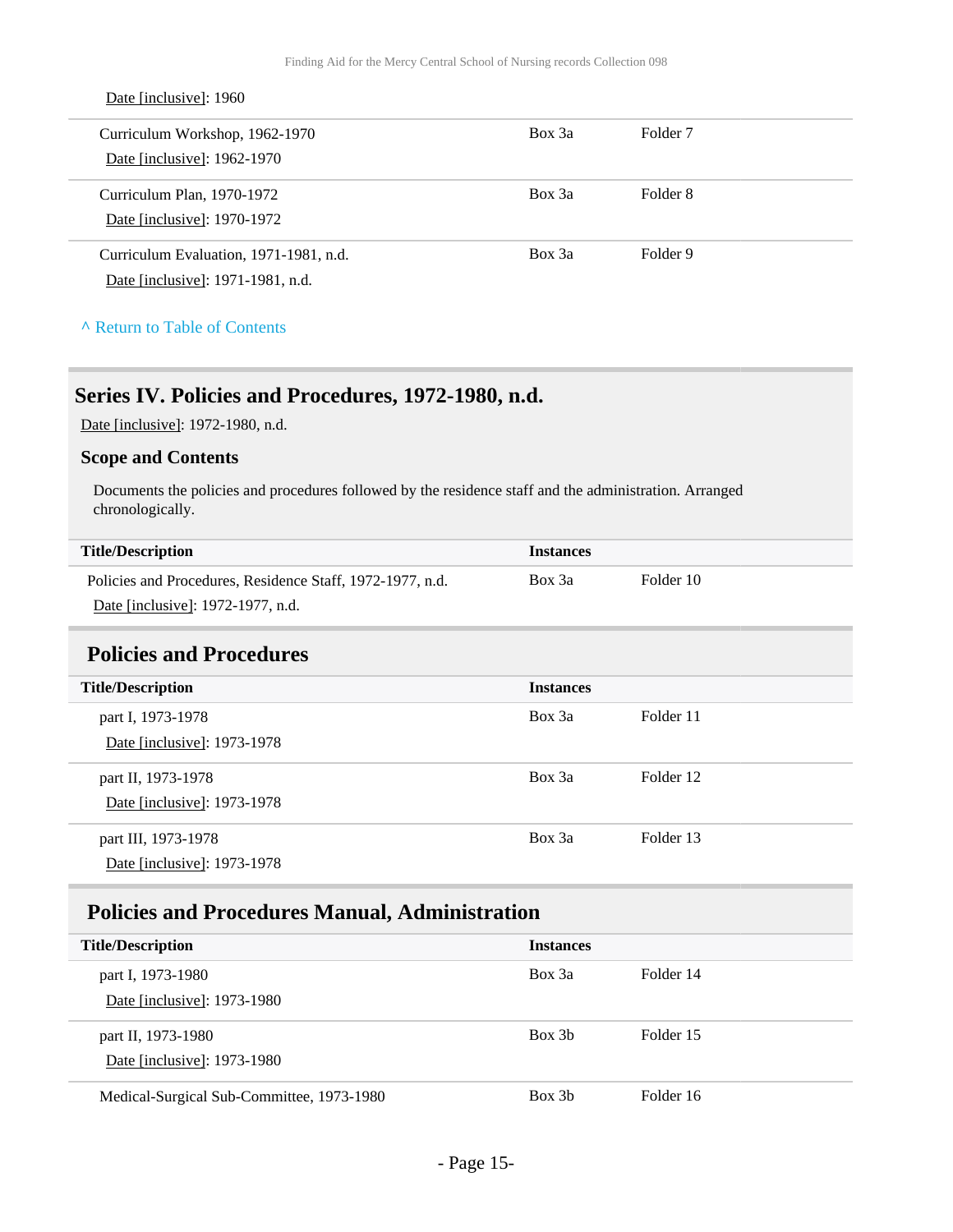| Date [inclusive]: 1960                 |        |                     |
|----------------------------------------|--------|---------------------|
| Curriculum Workshop, 1962-1970         | Box 3a | Folder <sub>7</sub> |
| Date [inclusive]: 1962-1970            |        |                     |
| Curriculum Plan, 1970-1972             | Box 3a | Folder 8            |
| Date [inclusive]: 1970-1972            |        |                     |
| Curriculum Evaluation, 1971-1981, n.d. | Box 3a | Folder 9            |
| Date [inclusive]: 1971-1981, n.d.      |        |                     |
|                                        |        |                     |

#### **^** [Return to Table of Contents](#page-1-0)

### <span id="page-14-0"></span>**Series IV. Policies and Procedures, 1972-1980, n.d.**

Date [inclusive]: 1972-1980, n.d.

#### **Scope and Contents**

Documents the policies and procedures followed by the residence staff and the administration. Arranged chronologically.

|  | <b>Title/Description</b> |
|--|--------------------------|
|  |                          |

| <b>Title/Description</b>                                  | <b>Instances</b> |           |
|-----------------------------------------------------------|------------------|-----------|
| Policies and Procedures, Residence Staff, 1972-1977, n.d. | Box 3a           | Folder 10 |
| Date [inclusive]: 1972-1977, n.d.                         |                  |           |

### <span id="page-14-1"></span>**Policies and Procedures**

| <b>Title/Description</b>                           | <b>Instances</b> |           |
|----------------------------------------------------|------------------|-----------|
| part I, 1973-1978<br>Date [inclusive]: 1973-1978   | Box 3a           | Folder 11 |
| part II, 1973-1978<br>Date [inclusive]: 1973-1978  | Box 3a           | Folder 12 |
| part III, 1973-1978<br>Date [inclusive]: 1973-1978 | Box 3a           | Folder 13 |

## <span id="page-14-2"></span>**Policies and Procedures Manual, Administration**

| <b>Title/Description</b>                          | <b>Instances</b> |           |
|---------------------------------------------------|------------------|-----------|
| part I, 1973-1980<br>Date [inclusive]: 1973-1980  | Box 3a           | Folder 14 |
| part II, 1973-1980<br>Date [inclusive]: 1973-1980 | Box 3b           | Folder 15 |
| Medical-Surgical Sub-Committee, 1973-1980         | Box 3b           | Folder 16 |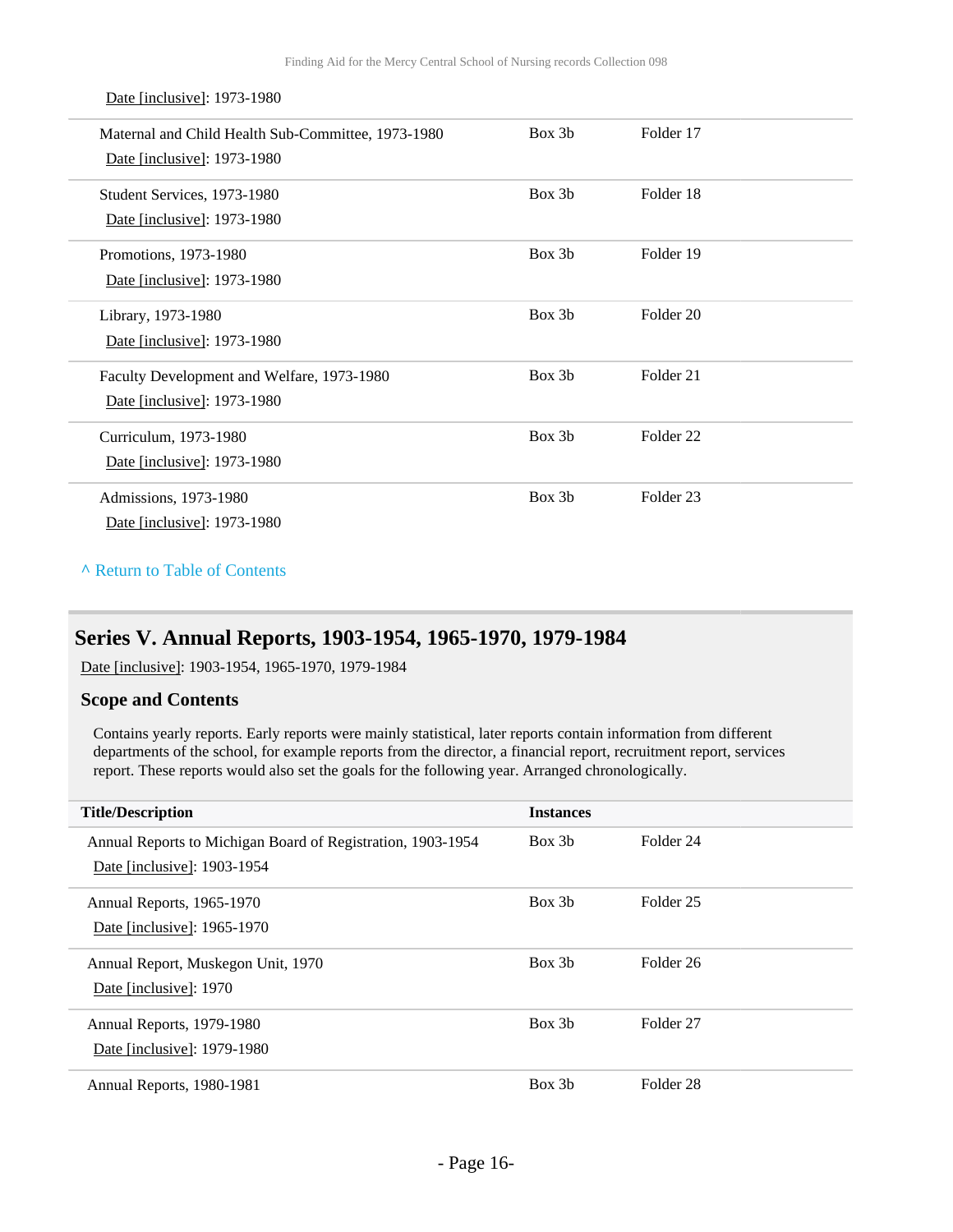Maternal and Child Health Sub-Committee, 1973-1980 Date [inclusive]: 1973-1980 Box 3b Folder 17 Student Services, 1973-1980 Date [inclusive]: 1973-1980 Box 3b Folder 18 Promotions, 1973-1980 Date [inclusive]: 1973-1980 Box 3b Folder 19 Library, 1973-1980 Date [inclusive]: 1973-1980 Box 3b Folder 20 Faculty Development and Welfare, 1973-1980 Date [inclusive]: 1973-1980 Box 3b Folder 21 Curriculum, 1973-1980 Date [inclusive]: 1973-1980 Box 3b Folder 22 Admissions, 1973-1980 Date [inclusive]: 1973-1980 Box 3b Folder 23

**^** [Return to Table of Contents](#page-1-0)

Date [inclusive]: 1973-1980

### <span id="page-15-0"></span>**Series V. Annual Reports, 1903-1954, 1965-1970, 1979-1984**

Date [inclusive]: 1903-1954, 1965-1970, 1979-1984

#### **Scope and Contents**

Contains yearly reports. Early reports were mainly statistical, later reports contain information from different departments of the school, for example reports from the director, a financial report, recruitment report, services report. These reports would also set the goals for the following year. Arranged chronologically.

| <b>Title/Description</b>                                                                   | <b>Instances</b> |                      |
|--------------------------------------------------------------------------------------------|------------------|----------------------|
| Annual Reports to Michigan Board of Registration, 1903-1954<br>Date [inclusive]: 1903-1954 | Box 3b           | Folder 24            |
| Annual Reports, 1965-1970<br>Date [inclusive]: 1965-1970                                   | Box 3b           | Folder 25            |
| Annual Report, Muskegon Unit, 1970<br>Date [inclusive]: 1970                               | Box 3b           | Folder 26            |
| Annual Reports, 1979-1980<br>Date [inclusive]: 1979-1980                                   | Box 3b           | Folder <sub>27</sub> |
| Annual Reports, 1980-1981                                                                  | Box 3b           | Folder 28            |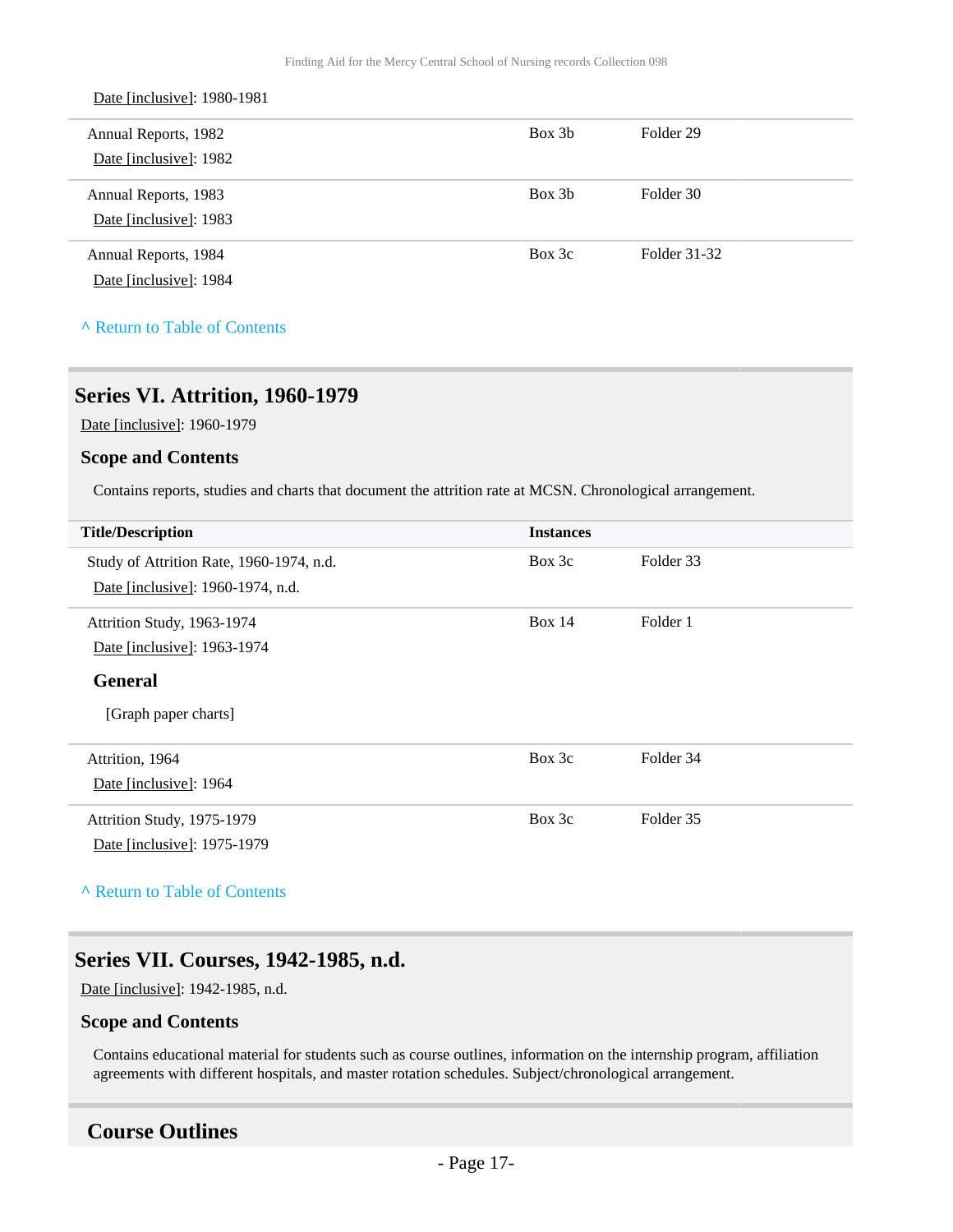| Date [inclusive]: 1980-1981 |        |              |
|-----------------------------|--------|--------------|
| Annual Reports, 1982        | Box 3b | Folder 29    |
| Date [inclusive]: 1982      |        |              |
| Annual Reports, 1983        | Box 3b | Folder 30    |
| Date [inclusive]: 1983      |        |              |
| Annual Reports, 1984        | Box 3c | Folder 31-32 |
| Date [inclusive]: 1984      |        |              |
|                             |        |              |

**^** [Return to Table of Contents](#page-1-0)

## <span id="page-16-0"></span>**Series VI. Attrition, 1960-1979**

Date [inclusive]: 1960-1979

#### **Scope and Contents**

Contains reports, studies and charts that document the attrition rate at MCSN. Chronological arrangement.

| <b>Title/Description</b>                 | <b>Instances</b> |           |
|------------------------------------------|------------------|-----------|
| Study of Attrition Rate, 1960-1974, n.d. | Box 3c           | Folder 33 |
| Date [inclusive]: 1960-1974, n.d.        |                  |           |
| Attrition Study, 1963-1974               | Box $14$         | Folder 1  |
| Date [inclusive]: 1963-1974              |                  |           |
| <b>General</b>                           |                  |           |
| [Graph paper charts]                     |                  |           |
| Attrition, 1964                          | Box 3c           | Folder 34 |
| Date [inclusive]: 1964                   |                  |           |
| Attrition Study, 1975-1979               | Box 3c           | Folder 35 |
| Date [inclusive]: 1975-1979              |                  |           |
|                                          |                  |           |

**^** [Return to Table of Contents](#page-1-0)

### <span id="page-16-1"></span>**Series VII. Courses, 1942-1985, n.d.**

Date [inclusive]: 1942-1985, n.d.

#### **Scope and Contents**

Contains educational material for students such as course outlines, information on the internship program, affiliation agreements with different hospitals, and master rotation schedules. Subject/chronological arrangement.

### <span id="page-16-2"></span>**Course Outlines**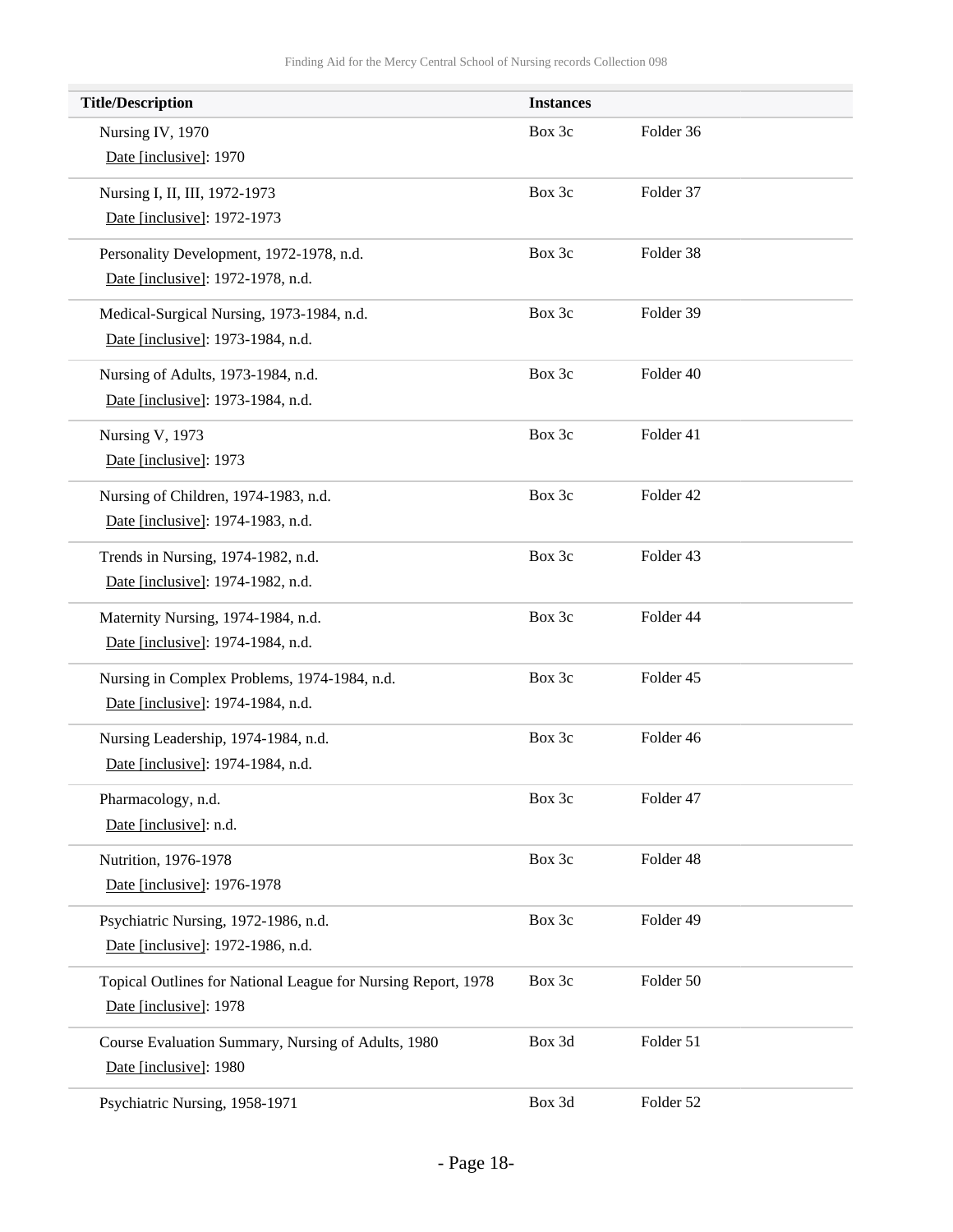| <b>Title/Description</b>                                      | <b>Instances</b> |           |
|---------------------------------------------------------------|------------------|-----------|
| Nursing IV, 1970                                              | Box 3c           | Folder 36 |
| Date [inclusive]: 1970                                        |                  |           |
| Nursing I, II, III, 1972-1973                                 | Box 3c           | Folder 37 |
| Date [inclusive]: 1972-1973                                   |                  |           |
| Personality Development, 1972-1978, n.d.                      | Box 3c           | Folder 38 |
| Date [inclusive]: 1972-1978, n.d.                             |                  |           |
| Medical-Surgical Nursing, 1973-1984, n.d.                     | Box 3c           | Folder 39 |
| Date [inclusive]: 1973-1984, n.d.                             |                  |           |
| Nursing of Adults, 1973-1984, n.d.                            | Box 3c           | Folder 40 |
| Date [inclusive]: 1973-1984, n.d.                             |                  |           |
| Nursing V, 1973                                               | Box 3c           | Folder 41 |
| Date [inclusive]: 1973                                        |                  |           |
| Nursing of Children, 1974-1983, n.d.                          | Box 3c           | Folder 42 |
| Date [inclusive]: 1974-1983, n.d.                             |                  |           |
| Trends in Nursing, 1974-1982, n.d.                            | Box 3c           | Folder 43 |
| Date [inclusive]: 1974-1982, n.d.                             |                  |           |
| Maternity Nursing, 1974-1984, n.d.                            | Box 3c           | Folder 44 |
| Date [inclusive]: 1974-1984, n.d.                             |                  |           |
| Nursing in Complex Problems, 1974-1984, n.d.                  | Box 3c           | Folder 45 |
| Date [inclusive]: 1974-1984, n.d.                             |                  |           |
| Nursing Leadership, 1974-1984, n.d.                           | Box 3c           | Folder 46 |
| Date [inclusive]: 1974-1984, n.d.                             |                  |           |
| Pharmacology, n.d.                                            | Box 3c           | Folder 47 |
| Date [inclusive]: n.d.                                        |                  |           |
| Nutrition, 1976-1978                                          | Box 3c           | Folder 48 |
| Date [inclusive]: 1976-1978                                   |                  |           |
| Psychiatric Nursing, 1972-1986, n.d.                          | Box 3c           | Folder 49 |
| Date [inclusive]: 1972-1986, n.d.                             |                  |           |
| Topical Outlines for National League for Nursing Report, 1978 | Box 3c           | Folder 50 |
| Date [inclusive]: 1978                                        |                  |           |
| Course Evaluation Summary, Nursing of Adults, 1980            | Box 3d           | Folder 51 |
| Date [inclusive]: 1980                                        |                  |           |
| Psychiatric Nursing, 1958-1971                                | Box 3d           | Folder 52 |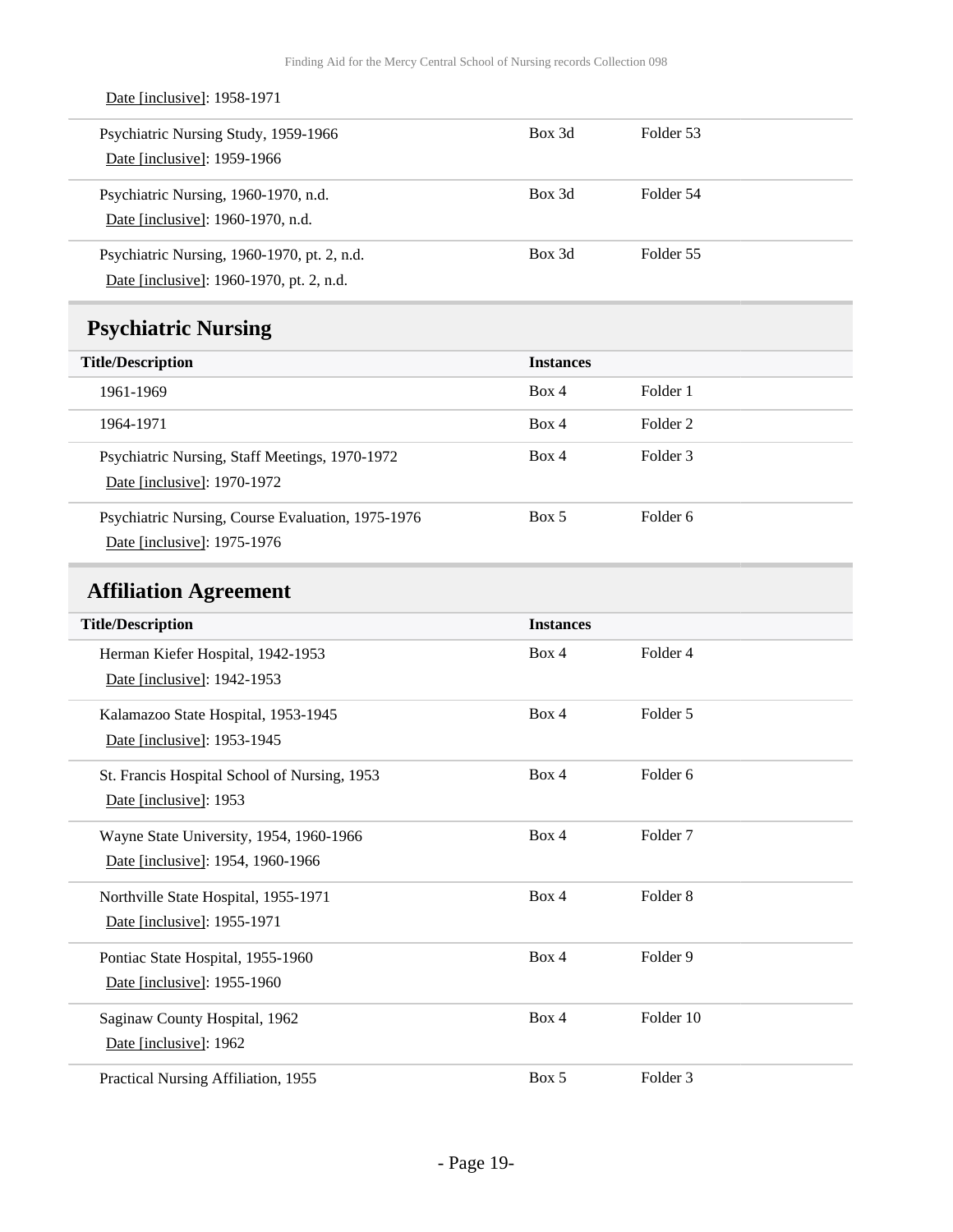<span id="page-18-1"></span><span id="page-18-0"></span>

| Date [inclusive]: 1958-1971                                                             |                  |                     |
|-----------------------------------------------------------------------------------------|------------------|---------------------|
| Psychiatric Nursing Study, 1959-1966<br>Date [inclusive]: 1959-1966                     | Box 3d           | Folder 53           |
| Psychiatric Nursing, 1960-1970, n.d.<br>Date [inclusive]: 1960-1970, n.d.               | Box 3d           | Folder 54           |
| Psychiatric Nursing, 1960-1970, pt. 2, n.d.<br>Date [inclusive]: 1960-1970, pt. 2, n.d. | Box 3d           | Folder 55           |
| <b>Psychiatric Nursing</b>                                                              |                  |                     |
| <b>Title/Description</b>                                                                | <b>Instances</b> |                     |
| 1961-1969                                                                               | Box 4            | Folder 1            |
| 1964-1971                                                                               | Box 4            | Folder <sub>2</sub> |
| Psychiatric Nursing, Staff Meetings, 1970-1972<br>Date [inclusive]: 1970-1972           | Box 4            | Folder <sub>3</sub> |
| Psychiatric Nursing, Course Evaluation, 1975-1976<br>Date [inclusive]: 1975-1976        | Box 5            | Folder 6            |
| <b>Affiliation Agreement</b>                                                            |                  |                     |
| <b>Title/Description</b>                                                                | <b>Instances</b> |                     |
| Herman Kiefer Hospital, 1942-1953<br>Date [inclusive]: 1942-1953                        | Box 4            | Folder 4            |
| Kalamazoo State Hospital, 1953-1945<br>Date [inclusive]: 1953-1945                      | Box 4            | Folder 5            |
| St. Francis Hospital School of Nursing, 1953<br>Date [inclusive]: 1953                  | Box 4            | Folder 6            |
| Wayne State University, 1954, 1960-1966<br>Date [inclusive]: 1954, 1960-1966            | Box 4            | Folder <sub>7</sub> |
| Northville State Hospital, 1955-1971<br>Date [inclusive]: 1955-1971                     | Box 4            | Folder 8            |
| Pontiac State Hospital, 1955-1960<br>Date [inclusive]: 1955-1960                        | Box 4            | Folder 9            |
| Saginaw County Hospital, 1962<br>Date [inclusive]: 1962                                 | Box 4            | Folder 10           |
| Practical Nursing Affiliation, 1955                                                     | Box 5            | Folder 3            |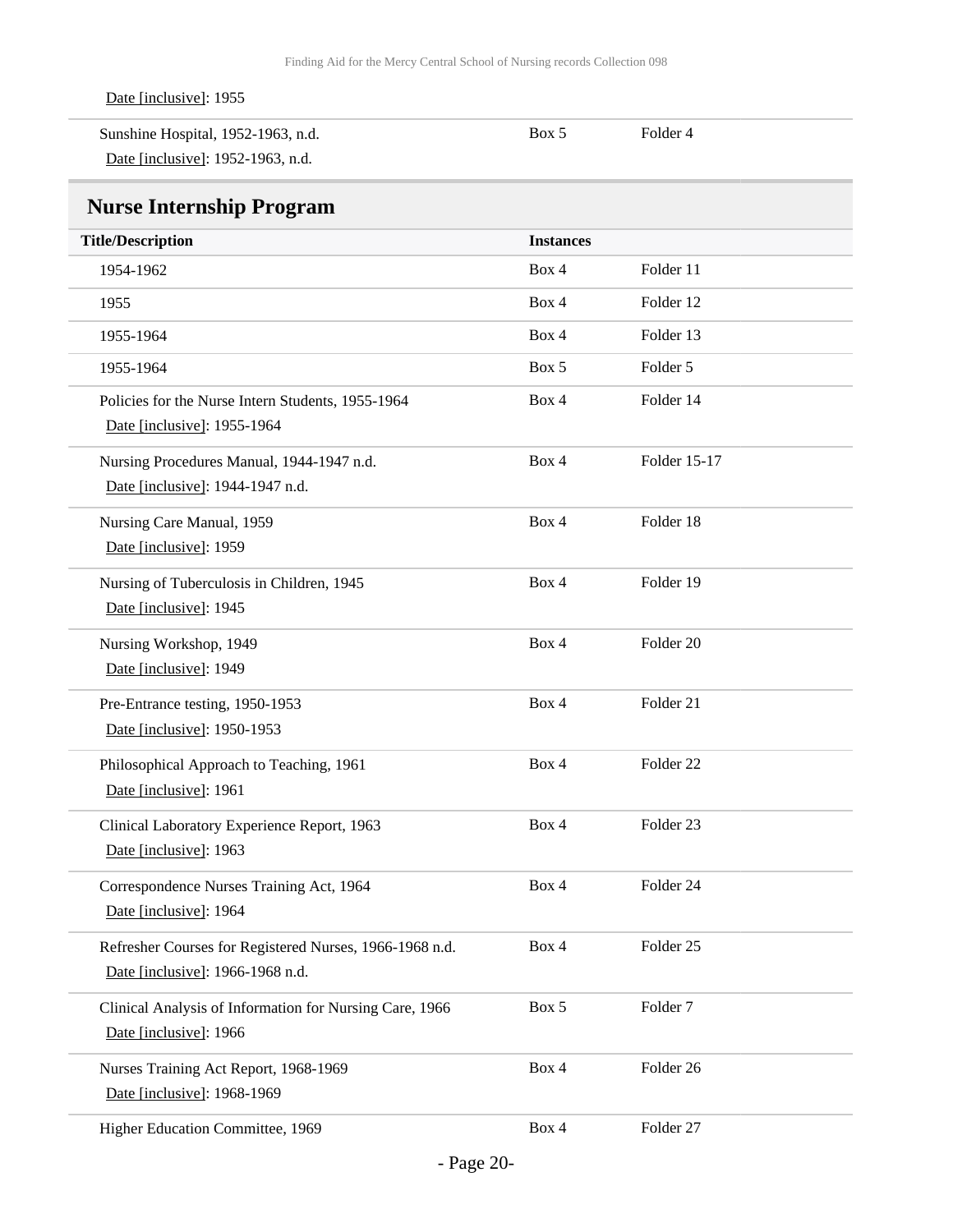<span id="page-19-0"></span>

| Date [inclusive]: 1955                                                                      |                  |                      |
|---------------------------------------------------------------------------------------------|------------------|----------------------|
| Sunshine Hospital, 1952-1963, n.d.                                                          | Box 5            | Folder 4             |
| Date [inclusive]: 1952-1963, n.d.                                                           |                  |                      |
| <b>Nurse Internship Program</b>                                                             |                  |                      |
| <b>Title/Description</b>                                                                    | <b>Instances</b> |                      |
| 1954-1962                                                                                   | Box 4            | Folder 11            |
| 1955                                                                                        | Box 4            | Folder 12            |
| 1955-1964                                                                                   | Box 4            | Folder 13            |
| 1955-1964                                                                                   | Box 5            | Folder 5             |
| Policies for the Nurse Intern Students, 1955-1964<br>Date [inclusive]: 1955-1964            | Box 4            | Folder 14            |
| Nursing Procedures Manual, 1944-1947 n.d.<br>Date [inclusive]: 1944-1947 n.d.               | Box 4            | Folder 15-17         |
| Nursing Care Manual, 1959<br>Date [inclusive]: 1959                                         | Box 4            | Folder 18            |
| Nursing of Tuberculosis in Children, 1945<br>Date [inclusive]: 1945                         | Box 4            | Folder 19            |
| Nursing Workshop, 1949<br>Date [inclusive]: 1949                                            | Box 4            | Folder <sub>20</sub> |
| Pre-Entrance testing, 1950-1953<br>Date [inclusive]: 1950-1953                              | Box 4            | Folder 21            |
| Philosophical Approach to Teaching, 1961<br>Date [inclusive]: 1961                          | Box 4            | Folder <sub>22</sub> |
| Clinical Laboratory Experience Report, 1963<br>Date [inclusive]: 1963                       | Box 4            | Folder <sub>23</sub> |
| Correspondence Nurses Training Act, 1964<br>Date [inclusive]: 1964                          | Box 4            | Folder 24            |
| Refresher Courses for Registered Nurses, 1966-1968 n.d.<br>Date [inclusive]: 1966-1968 n.d. | Box 4            | Folder 25            |
| Clinical Analysis of Information for Nursing Care, 1966<br>Date [inclusive]: 1966           | Box 5            | Folder <sub>7</sub>  |
| Nurses Training Act Report, 1968-1969<br>Date [inclusive]: 1968-1969                        | Box 4            | Folder 26            |
| Higher Education Committee, 1969                                                            | Box 4            | Folder 27            |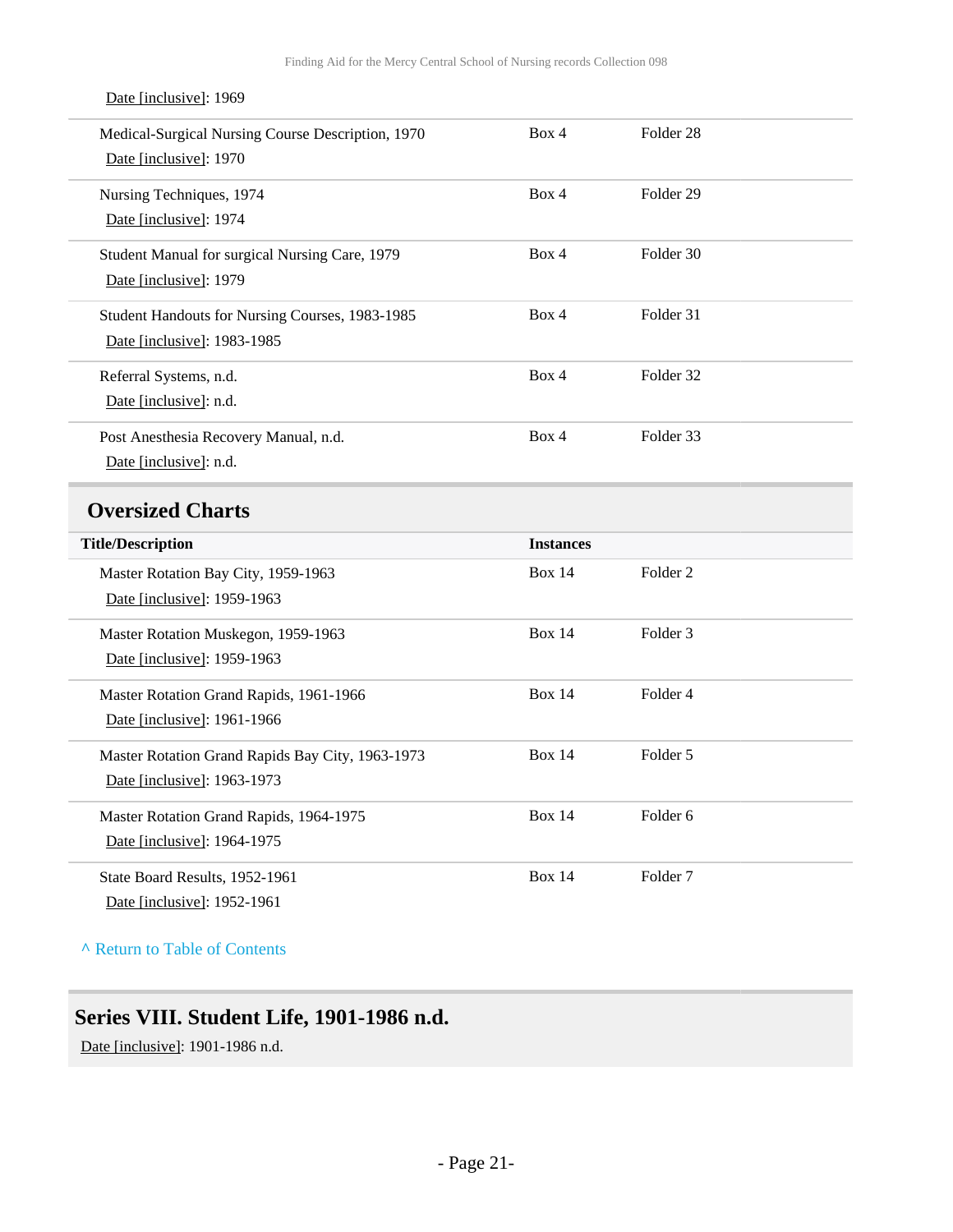<span id="page-20-0"></span>

| Box 4            | Folder <sub>28</sub> |  |
|------------------|----------------------|--|
|                  |                      |  |
| Box 4            | Folder 29            |  |
|                  |                      |  |
| Box 4            | Folder 30            |  |
|                  |                      |  |
| Box 4            | Folder 31            |  |
|                  |                      |  |
| Box 4            | Folder 32            |  |
|                  |                      |  |
| Box 4            | Folder 33            |  |
|                  |                      |  |
|                  |                      |  |
|                  |                      |  |
| <b>Instances</b> |                      |  |
| <b>Box 14</b>    | Folder <sub>2</sub>  |  |
|                  |                      |  |
| <b>Box 14</b>    | Folder <sub>3</sub>  |  |
|                  |                      |  |
| <b>Box 14</b>    | Folder 4             |  |
|                  |                      |  |
| <b>Box 14</b>    | Folder 5             |  |
|                  |                      |  |
| <b>Box 14</b>    | Folder <sub>6</sub>  |  |
|                  |                      |  |
| <b>Box 14</b>    | Folder <sub>7</sub>  |  |
|                  |                      |  |

#### Date [inclusive]: 1969

**^** [Return to Table of Contents](#page-1-0)

## <span id="page-20-1"></span>**Series VIII. Student Life, 1901-1986 n.d.**

Date [inclusive]: 1901-1986 n.d.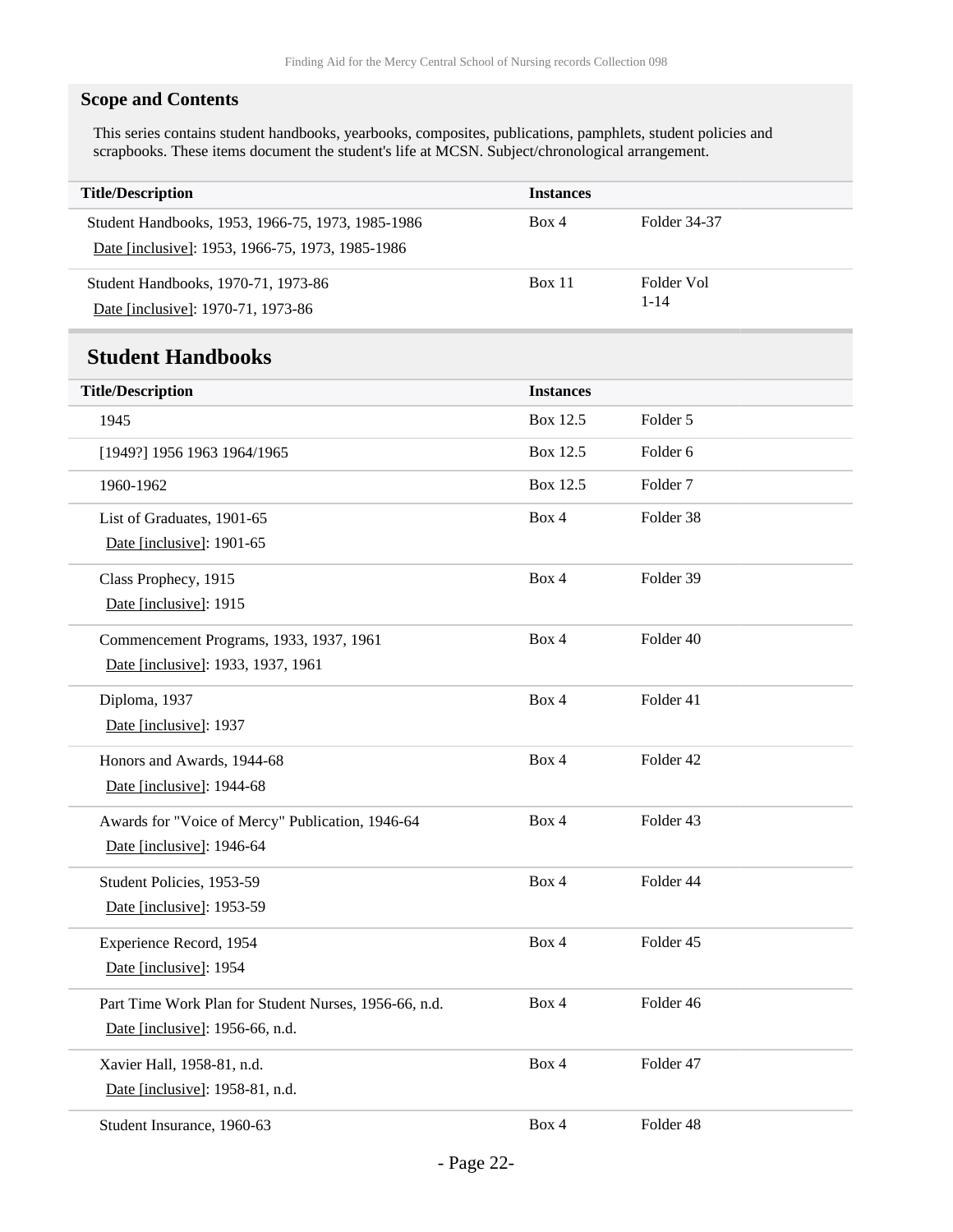### **Scope and Contents**

This series contains student handbooks, yearbooks, composites, publications, pamphlets, student policies and scrapbooks. These items document the student's life at MCSN. Subject/chronological arrangement.

<span id="page-21-0"></span>

| <b>Title/Description</b>                              | <b>Instances</b> |                     |
|-------------------------------------------------------|------------------|---------------------|
| Student Handbooks, 1953, 1966-75, 1973, 1985-1986     | Box 4            | Folder 34-37        |
| Date [inclusive]: 1953, 1966-75, 1973, 1985-1986      |                  |                     |
| Student Handbooks, 1970-71, 1973-86                   | Box 11           | Folder Vol          |
| Date [inclusive]: 1970-71, 1973-86                    |                  | $1 - 14$            |
| <b>Student Handbooks</b>                              |                  |                     |
| <b>Title/Description</b>                              | <b>Instances</b> |                     |
| 1945                                                  | Box 12.5         | Folder 5            |
| [1949?] 1956 1963 1964/1965                           | Box 12.5         | Folder <sub>6</sub> |
| 1960-1962                                             | Box 12.5         | Folder <sub>7</sub> |
| List of Graduates, 1901-65                            | Box 4            | Folder 38           |
| Date [inclusive]: 1901-65                             |                  |                     |
| Class Prophecy, 1915                                  | Box 4            | Folder 39           |
| Date [inclusive]: 1915                                |                  |                     |
| Commencement Programs, 1933, 1937, 1961               | Box 4            | Folder 40           |
| Date [inclusive]: 1933, 1937, 1961                    |                  |                     |
| Diploma, 1937                                         | Box 4            | Folder 41           |
| Date [inclusive]: 1937                                |                  |                     |
| Honors and Awards, 1944-68                            | Box 4            | Folder 42           |
| Date [inclusive]: 1944-68                             |                  |                     |
| Awards for "Voice of Mercy" Publication, 1946-64      | Box 4            | Folder 43           |
| Date [inclusive]: 1946-64                             |                  |                     |
| Student Policies, 1953-59                             | Box 4            | Folder 44           |
| Date [inclusive]: 1953-59                             |                  |                     |
| Experience Record, 1954                               | Box 4            | Folder 45           |
| Date [inclusive]: 1954                                |                  |                     |
| Part Time Work Plan for Student Nurses, 1956-66, n.d. | Box 4            | Folder 46           |
| Date [inclusive]: 1956-66, n.d.                       |                  |                     |
| Xavier Hall, 1958-81, n.d.                            | Box 4            | Folder 47           |
| Date [inclusive]: 1958-81, n.d.                       |                  |                     |
| Student Insurance, 1960-63                            | Box 4            | Folder 48           |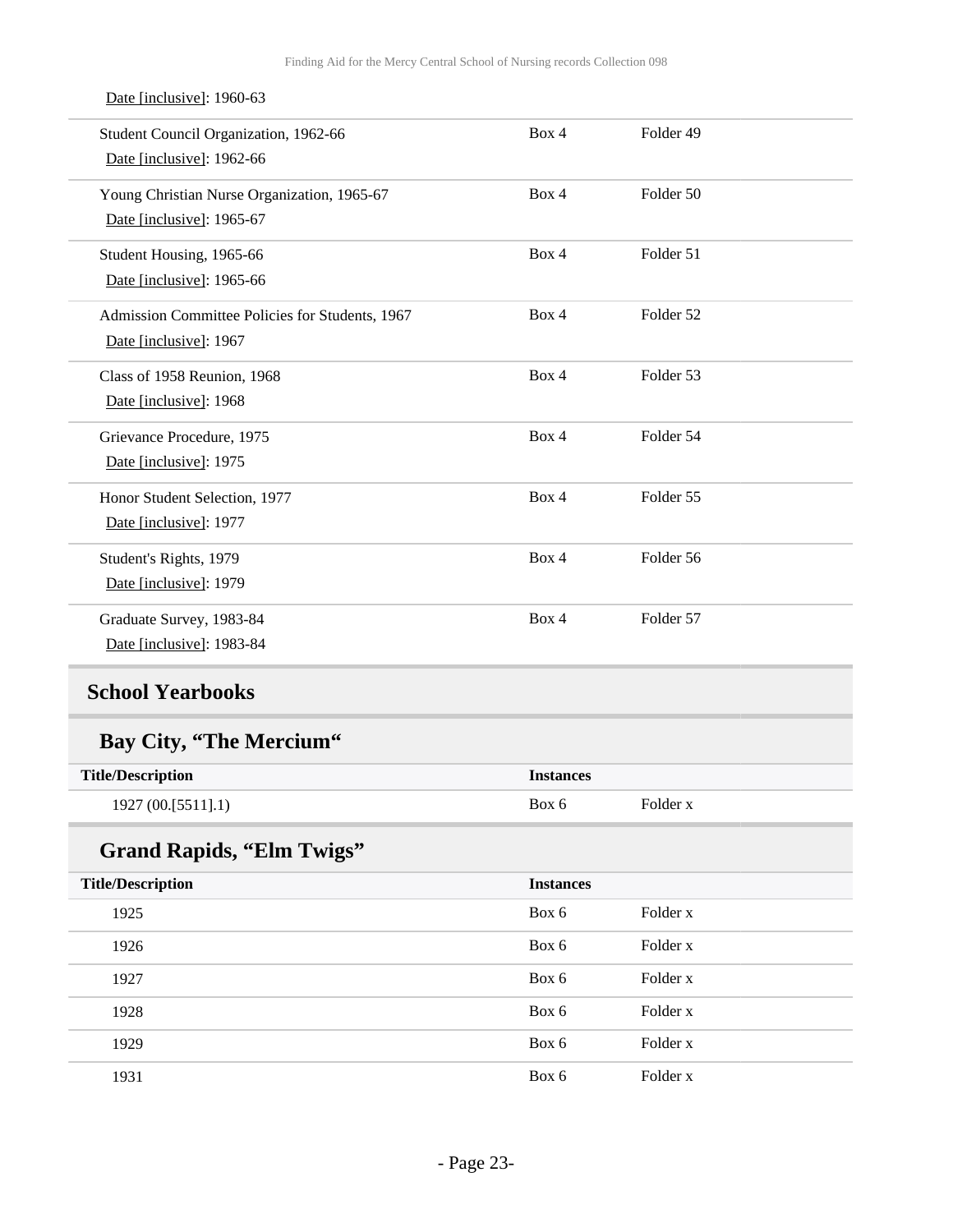| Student Council Organization, 1962-66<br>Date [inclusive]: 1962-66        | Box 4            | Folder 49 |  |
|---------------------------------------------------------------------------|------------------|-----------|--|
| Young Christian Nurse Organization, 1965-67<br>Date [inclusive]: 1965-67  | Box 4            | Folder 50 |  |
| Student Housing, 1965-66<br>Date [inclusive]: 1965-66                     | Box 4            | Folder 51 |  |
| Admission Committee Policies for Students, 1967<br>Date [inclusive]: 1967 | Box 4            | Folder 52 |  |
| Class of 1958 Reunion, 1968<br>Date [inclusive]: 1968                     | Box 4            | Folder 53 |  |
| Grievance Procedure, 1975<br>Date [inclusive]: 1975                       | Box 4            | Folder 54 |  |
| Honor Student Selection, 1977<br>Date [inclusive]: 1977                   | Box 4            | Folder 55 |  |
| Student's Rights, 1979<br>Date [inclusive]: 1979                          | Box 4            | Folder 56 |  |
| Graduate Survey, 1983-84<br>Date [inclusive]: 1983-84                     | Box 4            | Folder 57 |  |
| <b>School Yearbooks</b>                                                   |                  |           |  |
| Bay City, "The Mercium"                                                   |                  |           |  |
| <b>Title/Description</b>                                                  | <b>Instances</b> |           |  |
| 1927 (00.[5511].1)                                                        | Box 6            | Folder x  |  |
| <b>Grand Rapids, "Elm Twigs"</b>                                          |                  |           |  |
| <b>Title/Description</b>                                                  | <b>Instances</b> |           |  |
| 1925                                                                      | Box 6            | Folder x  |  |
| 1926                                                                      | Box 6            | Folder x  |  |
| 1927                                                                      | Box 6            | Folder x  |  |
| 1928                                                                      | Box 6            | Folder x  |  |
| 1929                                                                      | Box 6            | Folder x  |  |

#### Date [inclusive]: 1960-63

<span id="page-22-0"></span>1931 **Box 6** Folder x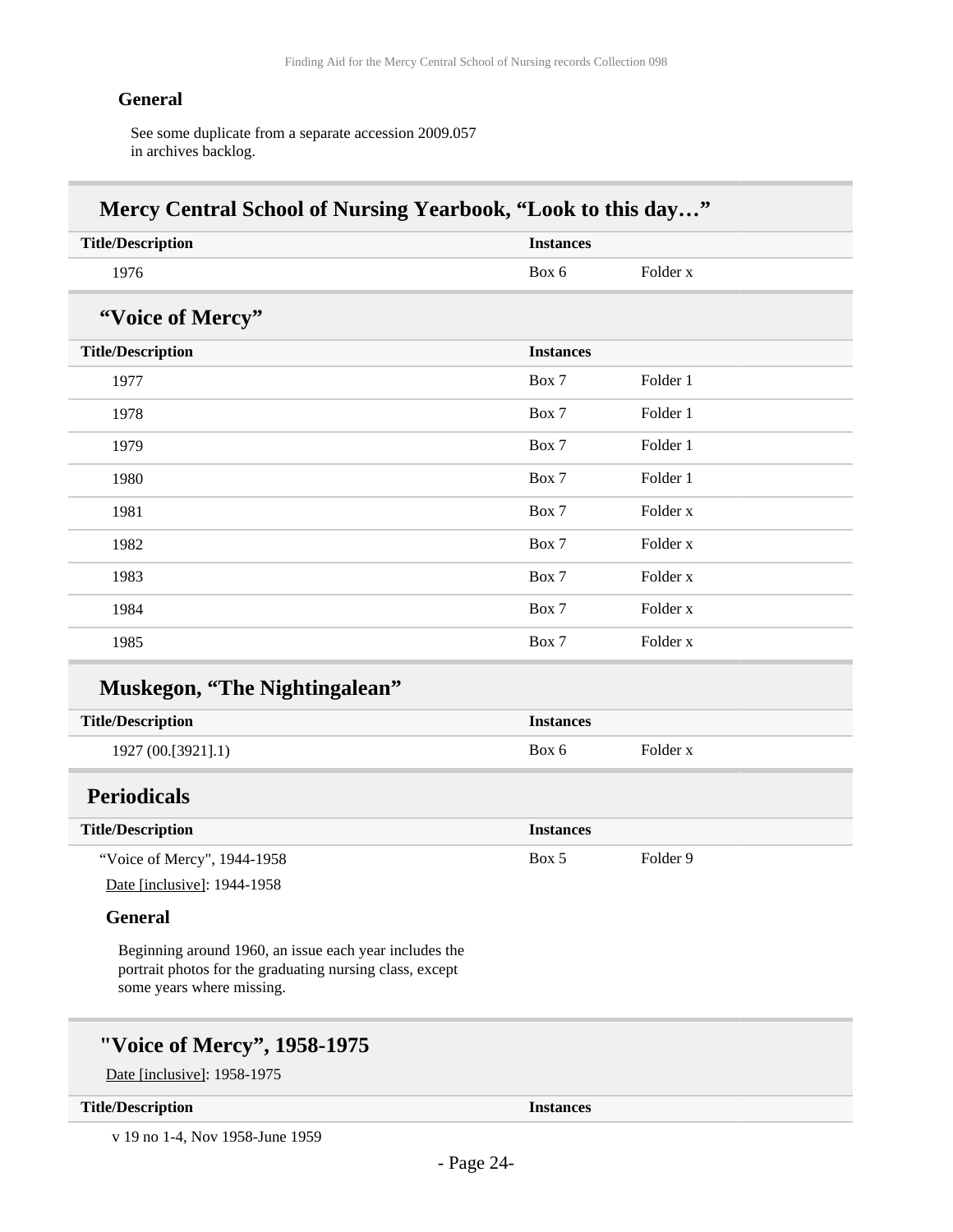#### **General**

See some duplicate from a separate accession 2009.057 in archives backlog.

| <b>Title/Description</b>                                                                                                                        | <b>Instances</b> |                     |
|-------------------------------------------------------------------------------------------------------------------------------------------------|------------------|---------------------|
| 1976                                                                                                                                            | Box 6            | Folder x            |
| "Voice of Mercy"                                                                                                                                |                  |                     |
| <b>Title/Description</b>                                                                                                                        | <b>Instances</b> |                     |
| 1977                                                                                                                                            | Box 7            | Folder 1            |
| 1978                                                                                                                                            | Box 7            | Folder 1            |
| 1979                                                                                                                                            | Box 7            | Folder 1            |
| 1980                                                                                                                                            | Box 7            | Folder 1            |
| 1981                                                                                                                                            | Box 7            | Folder x            |
| 1982                                                                                                                                            | Box 7            | Folder <sub>x</sub> |
| 1983                                                                                                                                            | Box 7            | Folder x            |
| 1984                                                                                                                                            | Box 7            | Folder <sub>x</sub> |
| 1985                                                                                                                                            | Box 7            | Folder x            |
| <b>Muskegon, "The Nightingalean"</b>                                                                                                            |                  |                     |
| <b>Title/Description</b>                                                                                                                        | <b>Instances</b> |                     |
| 1927 (00.[3921].1)                                                                                                                              | Box 6            | Folder x            |
| <b>Periodicals</b>                                                                                                                              |                  |                     |
| <b>Title/Description</b>                                                                                                                        | <b>Instances</b> |                     |
| "Voice of Mercy", 1944-1958                                                                                                                     | Box 5            | Folder 9            |
| Date [inclusive]: 1944-1958                                                                                                                     |                  |                     |
| <b>General</b>                                                                                                                                  |                  |                     |
| Beginning around 1960, an issue each year includes the<br>portrait photos for the graduating nursing class, except<br>some years where missing. |                  |                     |

#### <span id="page-23-0"></span>**Title/Description Instances**

v 19 no 1-4, Nov 1958-June 1959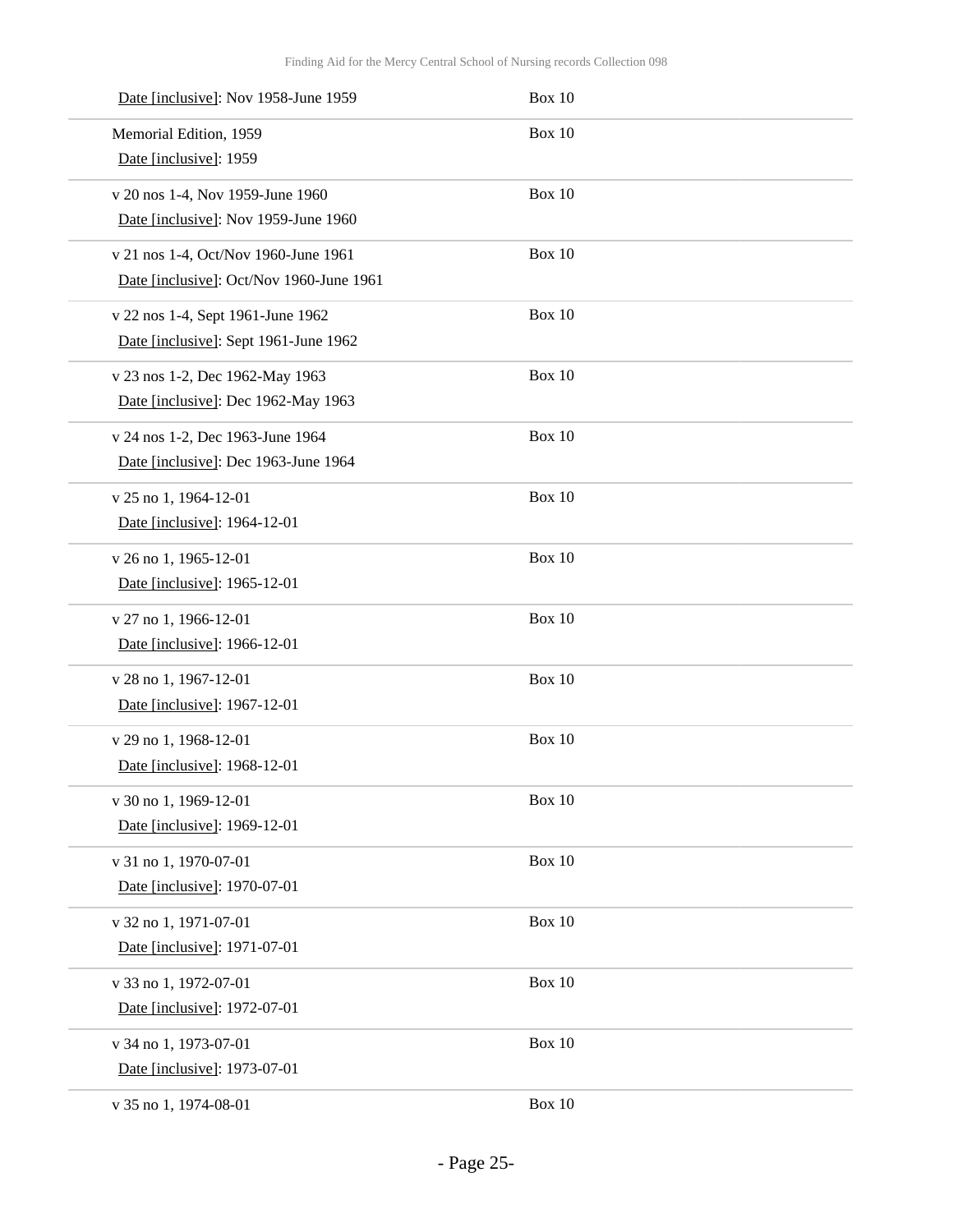| Date [inclusive]: Nov 1958-June 1959     | <b>Box 10</b> |
|------------------------------------------|---------------|
| Memorial Edition, 1959                   | <b>Box 10</b> |
| Date [inclusive]: 1959                   |               |
| v 20 nos 1-4, Nov 1959-June 1960         | <b>Box 10</b> |
| Date [inclusive]: Nov 1959-June 1960     |               |
| v 21 nos 1-4, Oct/Nov 1960-June 1961     | <b>Box 10</b> |
| Date [inclusive]: Oct/Nov 1960-June 1961 |               |
| v 22 nos 1-4, Sept 1961-June 1962        | Box 10        |
| Date [inclusive]: Sept 1961-June 1962    |               |
| v 23 nos 1-2, Dec 1962-May 1963          | <b>Box 10</b> |
| Date [inclusive]: Dec 1962-May 1963      |               |
| v 24 nos 1-2, Dec 1963-June 1964         | <b>Box 10</b> |
| Date [inclusive]: Dec 1963-June 1964     |               |
| v 25 no 1, 1964-12-01                    | <b>Box 10</b> |
| Date [inclusive]: 1964-12-01             |               |
| v 26 no 1, 1965-12-01                    | <b>Box 10</b> |
| Date [inclusive]: 1965-12-01             |               |
| v 27 no 1, 1966-12-01                    | <b>Box 10</b> |
| Date [inclusive]: 1966-12-01             |               |
| v 28 no 1, 1967-12-01                    | <b>Box 10</b> |
| Date [inclusive]: 1967-12-01             |               |
| v 29 no 1, 1968-12-01                    | <b>Box 10</b> |
| Date [inclusive]: 1968-12-01             |               |
| v 30 no 1, 1969-12-01                    | Box 10        |
| Date [inclusive]: 1969-12-01             |               |
| v 31 no 1, 1970-07-01                    | Box 10        |
| Date [inclusive]: 1970-07-01             |               |
| v 32 no 1, 1971-07-01                    | Box 10        |
| Date [inclusive]: 1971-07-01             |               |
| v 33 no 1, 1972-07-01                    | Box 10        |
| Date [inclusive]: 1972-07-01             |               |
| v 34 no 1, 1973-07-01                    | Box 10        |
| Date [inclusive]: 1973-07-01             |               |
| v 35 no 1, 1974-08-01                    | Box 10        |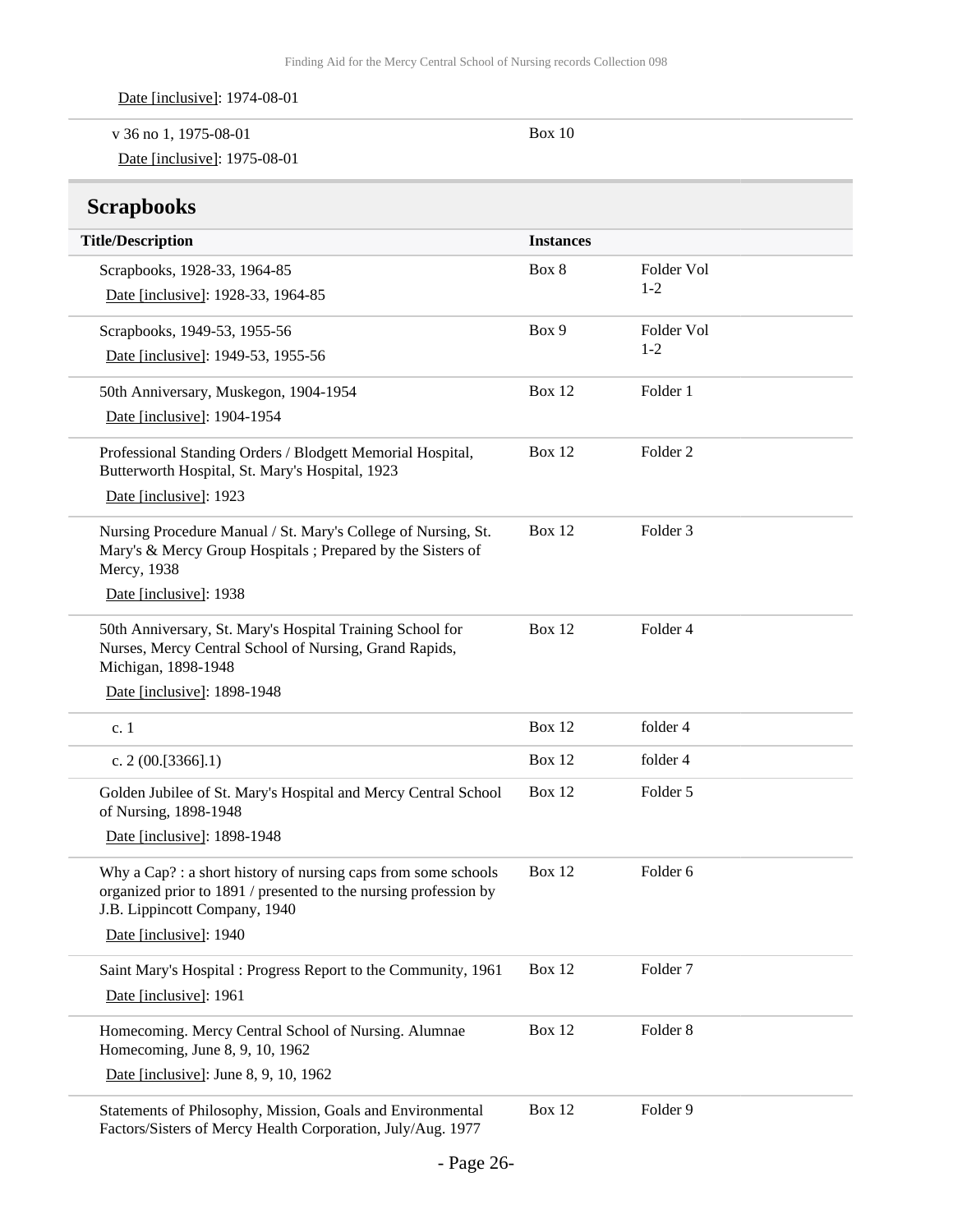|  |  | Date [inclusive]: 1974-08-01 |
|--|--|------------------------------|
|--|--|------------------------------|

| v 36 no 1, 1975-08-01        | Box 10 |
|------------------------------|--------|
| Date [inclusive]: 1975-08-01 |        |

## <span id="page-25-0"></span>**Scrapbooks**

| <b>Title/Description</b>                                                                                                                                           | <b>Instances</b> |                     |
|--------------------------------------------------------------------------------------------------------------------------------------------------------------------|------------------|---------------------|
| Scrapbooks, 1928-33, 1964-85                                                                                                                                       | Box 8            | Folder Vol          |
| Date [inclusive]: 1928-33, 1964-85                                                                                                                                 |                  | $1 - 2$             |
| Scrapbooks, 1949-53, 1955-56                                                                                                                                       | Box 9            | Folder Vol          |
| Date [inclusive]: 1949-53, 1955-56                                                                                                                                 |                  | $1 - 2$             |
| 50th Anniversary, Muskegon, 1904-1954                                                                                                                              | Box 12           | Folder 1            |
| Date [inclusive]: 1904-1954                                                                                                                                        |                  |                     |
| Professional Standing Orders / Blodgett Memorial Hospital,<br>Butterworth Hospital, St. Mary's Hospital, 1923                                                      | Box 12           | Folder <sub>2</sub> |
| Date [inclusive]: 1923                                                                                                                                             |                  |                     |
| Nursing Procedure Manual / St. Mary's College of Nursing, St.<br>Mary's & Mercy Group Hospitals ; Prepared by the Sisters of<br>Mercy, 1938                        | Box 12           | Folder <sub>3</sub> |
| Date [inclusive]: 1938                                                                                                                                             |                  |                     |
| 50th Anniversary, St. Mary's Hospital Training School for<br>Nurses, Mercy Central School of Nursing, Grand Rapids,<br>Michigan, 1898-1948                         | Box 12           | Folder 4            |
| Date [inclusive]: 1898-1948                                                                                                                                        |                  |                     |
| c. 1                                                                                                                                                               | Box 12           | folder 4            |
| c. $2(00.[3366].1)$                                                                                                                                                | Box 12           | folder 4            |
| Golden Jubilee of St. Mary's Hospital and Mercy Central School<br>of Nursing, 1898-1948                                                                            | <b>Box 12</b>    | Folder 5            |
| Date [inclusive]: 1898-1948                                                                                                                                        |                  |                     |
| Why a Cap?: a short history of nursing caps from some schools<br>organized prior to 1891 / presented to the nursing profession by<br>J.B. Lippincott Company, 1940 | Box 12           | Folder 6            |
| Date [inclusive]: 1940                                                                                                                                             |                  |                     |
| Saint Mary's Hospital : Progress Report to the Community, 1961<br>Date [inclusive]: 1961                                                                           | Box 12           | Folder <sub>7</sub> |
| Homecoming. Mercy Central School of Nursing. Alumnae<br>Homecoming, June 8, 9, 10, 1962                                                                            | Box 12           | Folder 8            |
| Date [inclusive]: June 8, 9, 10, 1962                                                                                                                              |                  |                     |
| Statements of Philosophy, Mission, Goals and Environmental<br>Factors/Sisters of Mercy Health Corporation, July/Aug. 1977                                          | Box 12           | Folder 9            |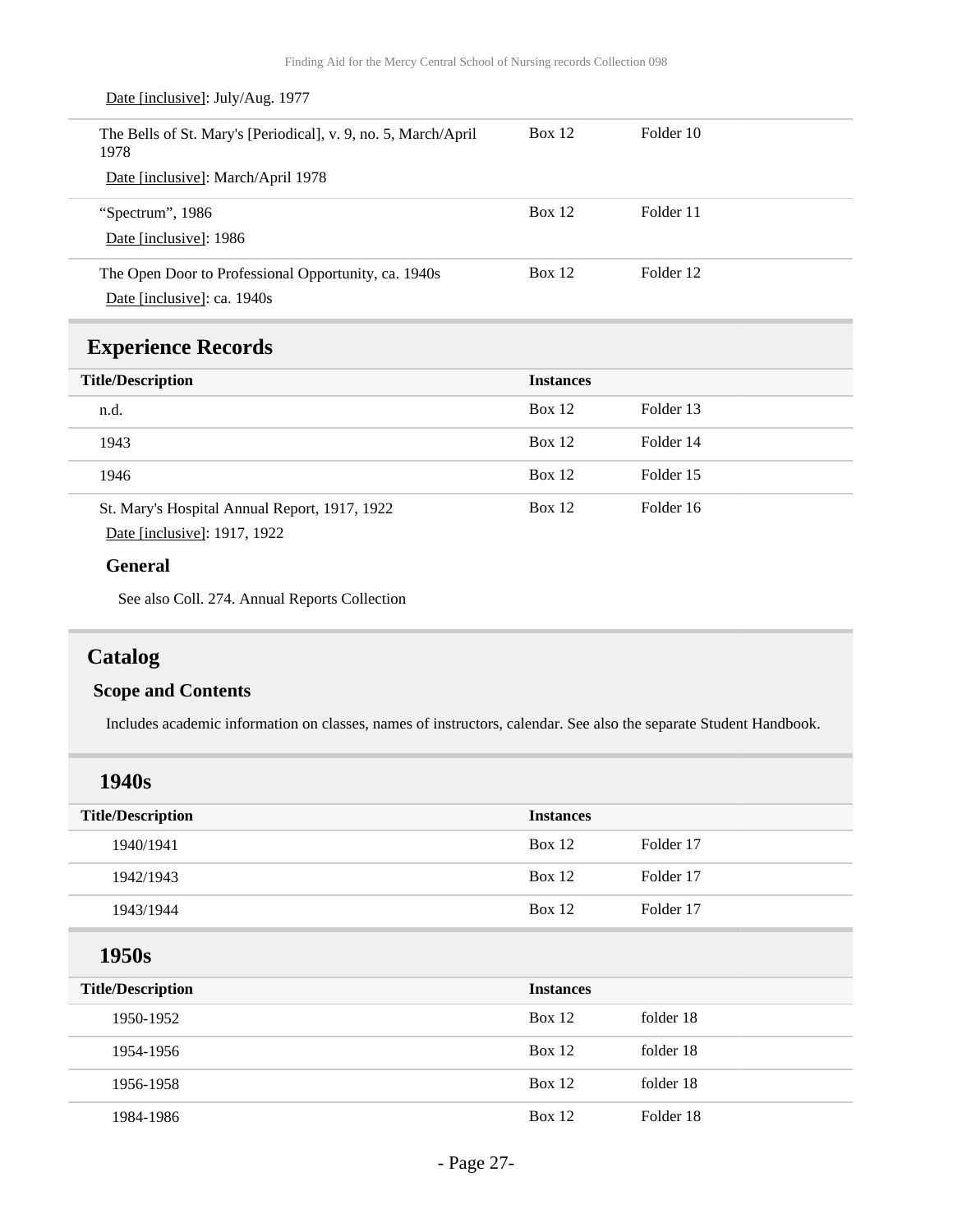<span id="page-26-0"></span>

| Date [inclusive]: July/Aug. 1977                                       |                  |           |
|------------------------------------------------------------------------|------------------|-----------|
| The Bells of St. Mary's [Periodical], v. 9, no. 5, March/April<br>1978 | Box $12$         | Folder 10 |
| Date [inclusive]: March/April 1978                                     |                  |           |
| "Spectrum", 1986                                                       | <b>Box 12</b>    | Folder 11 |
| Date [inclusive]: 1986                                                 |                  |           |
| The Open Door to Professional Opportunity, ca. 1940s                   | <b>Box 12</b>    | Folder 12 |
| Date [inclusive]: ca. 1940s                                            |                  |           |
|                                                                        |                  |           |
| <b>Experience Records</b>                                              |                  |           |
| <b>Title/Description</b>                                               | <b>Instances</b> |           |
| n.d.                                                                   | <b>Box 12</b>    | Folder 13 |
| 1943                                                                   | <b>Box 12</b>    | Folder 14 |
| 1946                                                                   | <b>Box 12</b>    | Folder 15 |
| St. Mary's Hospital Annual Report, 1917, 1922                          | <b>Box 12</b>    | Folder 16 |
| Date [inclusive]: 1917, 1922                                           |                  |           |
| <b>General</b>                                                         |                  |           |

See also Coll. 274. Annual Reports Collection

## <span id="page-26-1"></span>**Catalog**

### **Scope and Contents**

Includes academic information on classes, names of instructors, calendar. See also the separate Student Handbook.

| 1940s                    |                  |           |
|--------------------------|------------------|-----------|
| <b>Title/Description</b> | <b>Instances</b> |           |
| 1940/1941                | Box 12           | Folder 17 |
| 1942/1943                | Box $12$         | Folder 17 |
| 1943/1944                | Box $12$         | Folder 17 |
| 1950s                    |                  |           |
| <b>Title/Description</b> | <b>Instances</b> |           |
| 1950-1952                | <b>Box 12</b>    | folder 18 |
| 1954-1956                | <b>Box 12</b>    | folder 18 |
| 1956-1958                | <b>Box 12</b>    | folder 18 |
| 1984-1986                | <b>Box 12</b>    | Folder 18 |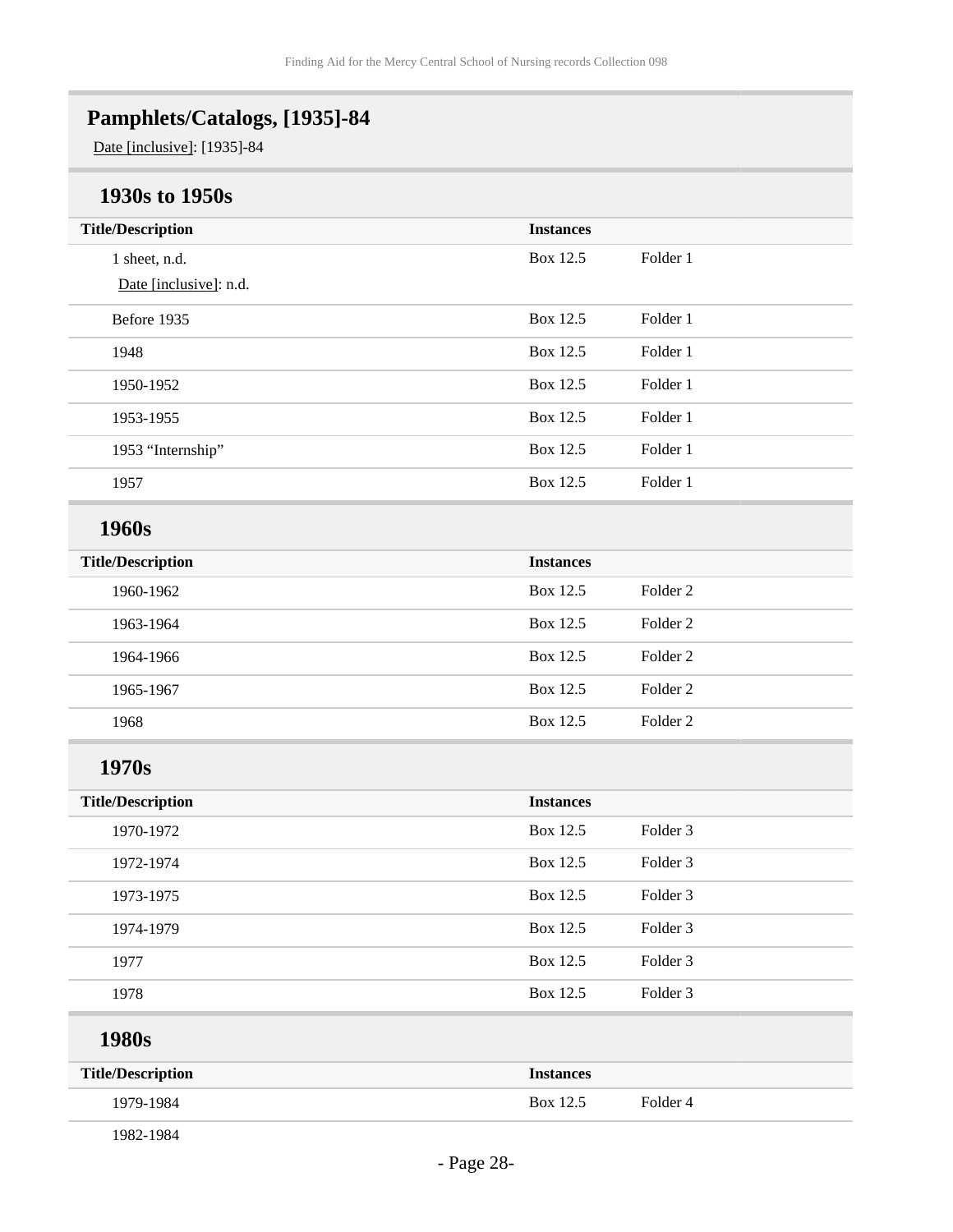## <span id="page-27-0"></span>**Pamphlets/Catalogs, [1935]-84**

Date [inclusive]: [1935]-84

## **1930s to 1950s**

| <b>Title/Description</b> | <b>Instances</b> |                     |
|--------------------------|------------------|---------------------|
| 1 sheet, n.d.            | Box 12.5         | Folder 1            |
| Date [inclusive]: n.d.   |                  |                     |
| Before 1935              | Box 12.5         | Folder 1            |
| 1948                     | Box 12.5         | Folder 1            |
| 1950-1952                | Box 12.5         | Folder 1            |
| 1953-1955                | Box 12.5         | Folder 1            |
| 1953 "Internship"        | Box 12.5         | Folder 1            |
| 1957                     | Box 12.5         | Folder 1            |
| 1960s                    |                  |                     |
| <b>Title/Description</b> | <b>Instances</b> |                     |
| 1960-1962                | Box 12.5         | Folder <sub>2</sub> |
| 1963-1964                | Box 12.5         | Folder <sub>2</sub> |
| 1964-1966                | Box 12.5         | Folder <sub>2</sub> |
| 1965-1967                | Box 12.5         | Folder <sub>2</sub> |
| 1968                     | Box 12.5         | Folder <sub>2</sub> |
| 1970s                    |                  |                     |
| <b>Title/Description</b> | <b>Instances</b> |                     |
| 1970-1972                | Box 12.5         | Folder 3            |
| 1972-1974                | Box 12.5         | Folder 3            |
| 1973-1975                | Box 12.5         | Folder <sub>3</sub> |
| 1974-1979                | Box 12.5         | Folder 3            |
| 1977                     | Box 12.5         | Folder 3            |
| 1978                     | Box 12.5         | Folder 3            |
| 1980s                    |                  |                     |
| <b>Title/Description</b> | <b>Instances</b> |                     |
| 1979-1984                | Box 12.5         | Folder 4            |
| 1982-1984                |                  |                     |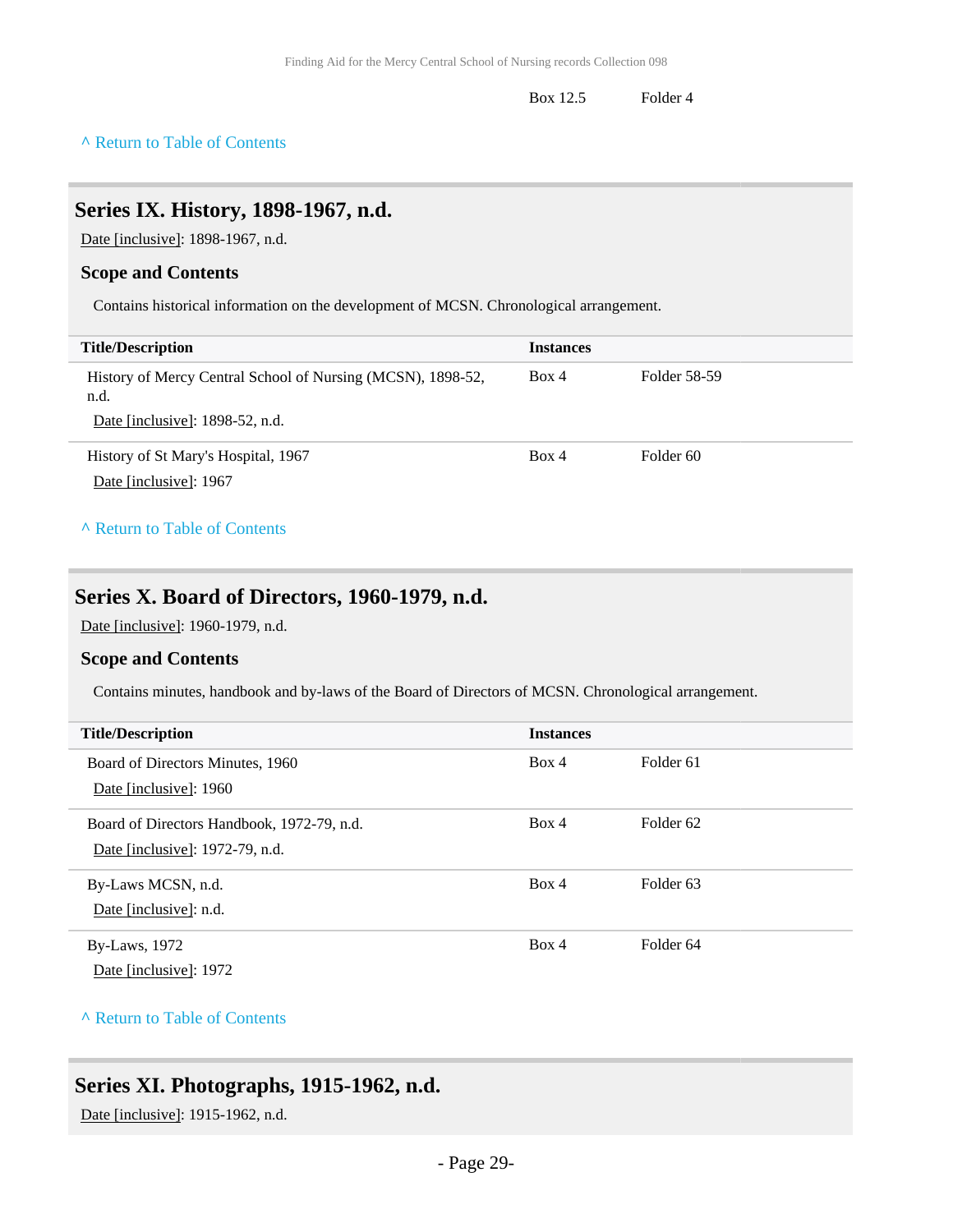Box 12.5 Folder 4

#### **^** [Return to Table of Contents](#page-1-0)

### <span id="page-28-0"></span>**Series IX. History, 1898-1967, n.d.**

Date [inclusive]: 1898-1967, n.d.

#### **Scope and Contents**

Contains historical information on the development of MCSN. Chronological arrangement.

| <b>Title/Description</b>                                                                               | <b>Instances</b> |              |
|--------------------------------------------------------------------------------------------------------|------------------|--------------|
| History of Mercy Central School of Nursing (MCSN), 1898-52,<br>n.d.<br>Date [inclusive]: 1898-52, n.d. | Box 4            | Folder 58-59 |
| History of St Mary's Hospital, 1967<br>Date [inclusive]: 1967                                          | Box 4            | Folder 60    |

#### **^** [Return to Table of Contents](#page-1-0)

### <span id="page-28-1"></span>**Series X. Board of Directors, 1960-1979, n.d.**

Date [inclusive]: 1960-1979, n.d.

#### **Scope and Contents**

Contains minutes, handbook and by-laws of the Board of Directors of MCSN. Chronological arrangement.

| <b>Title/Description</b>                                                      | <b>Instances</b> |                      |
|-------------------------------------------------------------------------------|------------------|----------------------|
| Board of Directors Minutes, 1960<br>Date [inclusive]: 1960                    | Box 4            | Folder <sub>61</sub> |
| Board of Directors Handbook, 1972-79, n.d.<br>Date [inclusive]: 1972-79, n.d. | Box 4            | Folder <sub>62</sub> |
| By-Laws MCSN, n.d.<br>Date [inclusive]: n.d.                                  | Box 4            | Folder <sub>63</sub> |
| <b>By-Laws</b> , 1972<br>Date [inclusive]: 1972                               | Box 4            | Folder <sub>64</sub> |

#### **^** [Return to Table of Contents](#page-1-0)

## <span id="page-28-2"></span>**Series XI. Photographs, 1915-1962, n.d.**

Date [inclusive]: 1915-1962, n.d.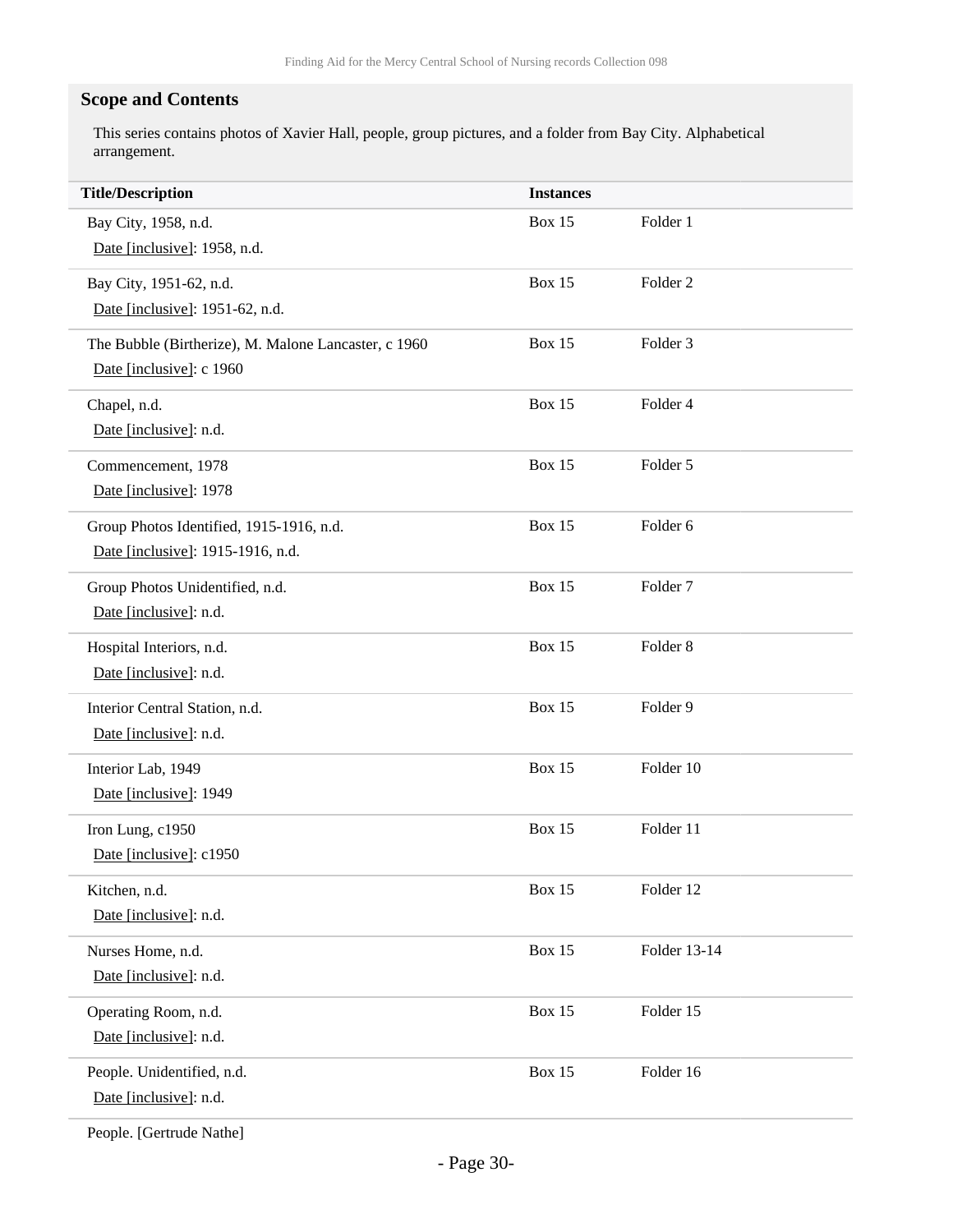### **Scope and Contents**

This series contains photos of Xavier Hall, people, group pictures, and a folder from Bay City. Alphabetical arrangement.

| <b>Title/Description</b>                             | <b>Instances</b> |                     |
|------------------------------------------------------|------------------|---------------------|
| Bay City, 1958, n.d.                                 | <b>Box 15</b>    | Folder 1            |
| Date [inclusive]: 1958, n.d.                         |                  |                     |
| Bay City, 1951-62, n.d.                              | <b>Box 15</b>    | Folder <sub>2</sub> |
| Date [inclusive]: 1951-62, n.d.                      |                  |                     |
| The Bubble (Birtherize), M. Malone Lancaster, c 1960 | <b>Box 15</b>    | Folder <sub>3</sub> |
| Date [inclusive]: c 1960                             |                  |                     |
| Chapel, n.d.                                         | <b>Box 15</b>    | Folder 4            |
| Date [inclusive]: n.d.                               |                  |                     |
| Commencement, 1978                                   | <b>Box 15</b>    | Folder 5            |
| Date [inclusive]: 1978                               |                  |                     |
| Group Photos Identified, 1915-1916, n.d.             | <b>Box 15</b>    | Folder 6            |
| Date [inclusive]: 1915-1916, n.d.                    |                  |                     |
| Group Photos Unidentified, n.d.                      | <b>Box 15</b>    | Folder <sub>7</sub> |
| Date [inclusive]: n.d.                               |                  |                     |
| Hospital Interiors, n.d.                             | <b>Box 15</b>    | Folder <sub>8</sub> |
| Date [inclusive]: n.d.                               |                  |                     |
| Interior Central Station, n.d.                       | <b>Box 15</b>    | Folder 9            |
| Date [inclusive]: n.d.                               |                  |                     |
| Interior Lab, 1949                                   | <b>Box 15</b>    | Folder 10           |
| Date [inclusive]: 1949                               |                  |                     |
| Iron Lung, c1950                                     | <b>Box 15</b>    | Folder 11           |
| Date [inclusive]: c1950                              |                  |                     |
| Kitchen, n.d.                                        | <b>Box 15</b>    | Folder 12           |
| Date [inclusive]: n.d.                               |                  |                     |
| Nurses Home, n.d.                                    | <b>Box 15</b>    | Folder 13-14        |
| Date [inclusive]: n.d.                               |                  |                     |
| Operating Room, n.d.                                 | <b>Box 15</b>    | Folder 15           |
| Date [inclusive]: n.d.                               |                  |                     |
| People. Unidentified, n.d.                           | <b>Box 15</b>    | Folder 16           |
| Date [inclusive]: n.d.                               |                  |                     |
|                                                      |                  |                     |

People. [Gertrude Nathe]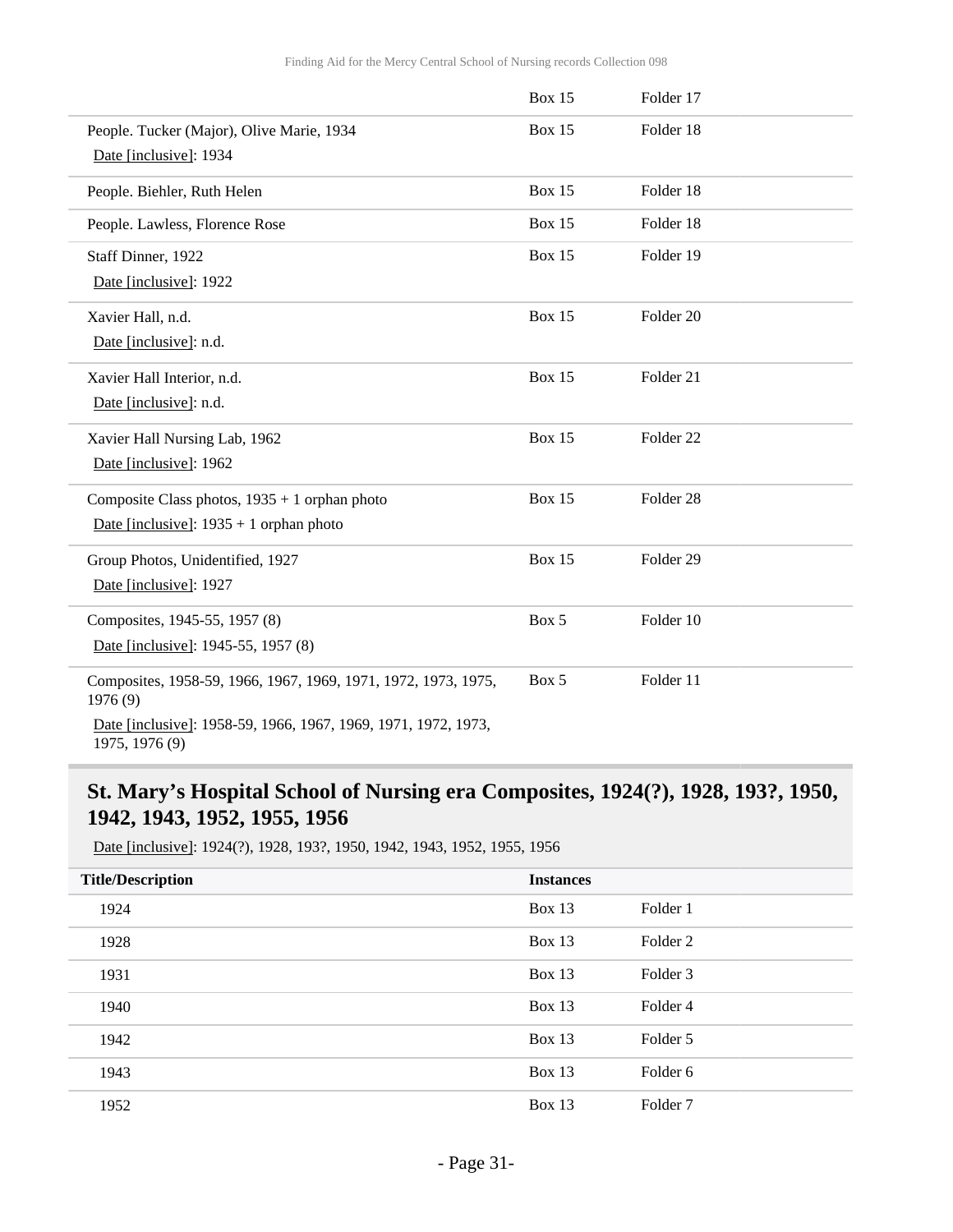|                                                                                  | <b>Box 15</b> | Folder 17            |  |
|----------------------------------------------------------------------------------|---------------|----------------------|--|
| People. Tucker (Major), Olive Marie, 1934                                        | <b>Box 15</b> | Folder 18            |  |
| Date [inclusive]: 1934                                                           |               |                      |  |
| People. Biehler, Ruth Helen                                                      | <b>Box 15</b> | Folder 18            |  |
| People. Lawless, Florence Rose                                                   | <b>Box 15</b> | Folder 18            |  |
| Staff Dinner, 1922                                                               | <b>Box 15</b> | Folder 19            |  |
| Date [inclusive]: 1922                                                           |               |                      |  |
| Xavier Hall, n.d.                                                                | <b>Box 15</b> | Folder 20            |  |
| Date [inclusive]: n.d.                                                           |               |                      |  |
| Xavier Hall Interior, n.d.                                                       | <b>Box 15</b> | Folder 21            |  |
| Date [inclusive]: n.d.                                                           |               |                      |  |
| Xavier Hall Nursing Lab, 1962                                                    | <b>Box 15</b> | Folder <sub>22</sub> |  |
| Date [inclusive]: 1962                                                           |               |                      |  |
| Composite Class photos, $1935 + 1$ orphan photo                                  | <b>Box 15</b> | Folder <sub>28</sub> |  |
| Date [inclusive]: $1935 + 1$ orphan photo                                        |               |                      |  |
| Group Photos, Unidentified, 1927                                                 | <b>Box 15</b> | Folder 29            |  |
| Date [inclusive]: 1927                                                           |               |                      |  |
| Composites, 1945-55, 1957 (8)                                                    | Box 5         | Folder 10            |  |
| Date [inclusive]: 1945-55, 1957 (8)                                              |               |                      |  |
| Composites, 1958-59, 1966, 1967, 1969, 1971, 1972, 1973, 1975,<br>1976 (9)       | Box 5         | Folder 11            |  |
| Date [inclusive]: 1958-59, 1966, 1967, 1969, 1971, 1972, 1973,<br>1975, 1976 (9) |               |                      |  |

## <span id="page-30-0"></span>**St. Mary's Hospital School of Nursing era Composites, 1924(?), 1928, 193?, 1950, 1942, 1943, 1952, 1955, 1956**

Date [inclusive]: 1924(?), 1928, 193?, 1950, 1942, 1943, 1952, 1955, 1956

| <b>Title/Description</b> | <b>Instances</b> |                     |
|--------------------------|------------------|---------------------|
| 1924                     | Box $13$         | Folder 1            |
| 1928                     | Box 13           | Folder <sub>2</sub> |
| 1931                     | Box $13$         | Folder <sub>3</sub> |
| 1940                     | Box 13           | Folder 4            |
| 1942                     | Box $13$         | Folder 5            |
| 1943                     | Box $13$         | Folder 6            |
| 1952                     | Box 13           | Folder <sub>7</sub> |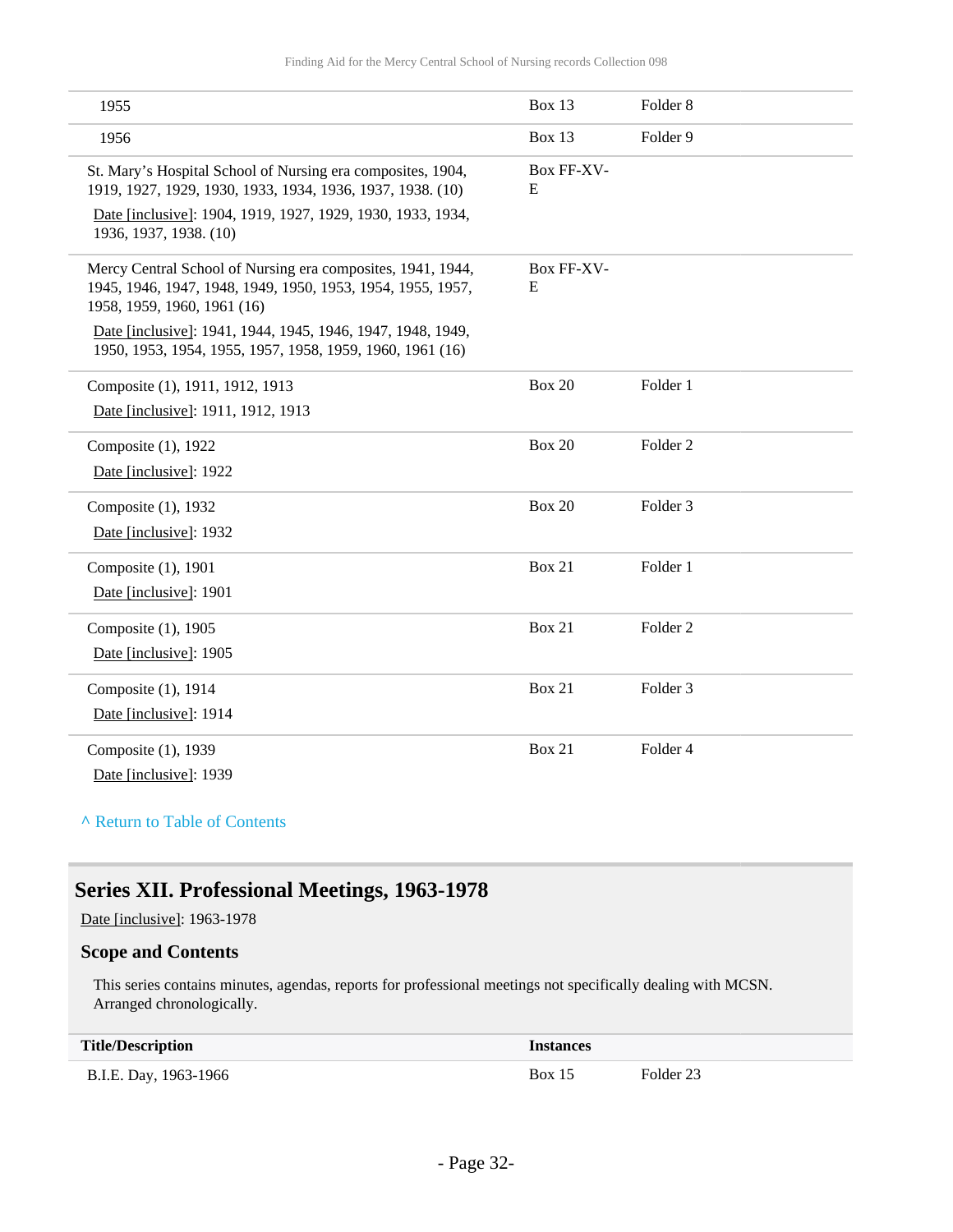| 1955                                                                                                                                                      | <b>Box 13</b>   | Folder <sub>8</sub> |
|-----------------------------------------------------------------------------------------------------------------------------------------------------------|-----------------|---------------------|
| 1956                                                                                                                                                      | <b>Box 13</b>   | Folder 9            |
| St. Mary's Hospital School of Nursing era composites, 1904,<br>1919, 1927, 1929, 1930, 1933, 1934, 1936, 1937, 1938. (10)                                 | Box FF-XV-<br>E |                     |
| Date [inclusive]: 1904, 1919, 1927, 1929, 1930, 1933, 1934,<br>1936, 1937, 1938. (10)                                                                     |                 |                     |
| Mercy Central School of Nursing era composites, 1941, 1944,<br>1945, 1946, 1947, 1948, 1949, 1950, 1953, 1954, 1955, 1957,<br>1958, 1959, 1960, 1961 (16) | Box FF-XV-<br>E |                     |
| Date [inclusive]: 1941, 1944, 1945, 1946, 1947, 1948, 1949,<br>1950, 1953, 1954, 1955, 1957, 1958, 1959, 1960, 1961 (16)                                  |                 |                     |
| Composite (1), 1911, 1912, 1913                                                                                                                           | <b>Box 20</b>   | Folder 1            |
| Date [inclusive]: 1911, 1912, 1913                                                                                                                        |                 |                     |
| Composite (1), 1922                                                                                                                                       | <b>Box 20</b>   | Folder <sub>2</sub> |
| Date [inclusive]: 1922                                                                                                                                    |                 |                     |
| Composite (1), 1932                                                                                                                                       | <b>Box 20</b>   | Folder <sub>3</sub> |
| Date [inclusive]: 1932                                                                                                                                    |                 |                     |
| Composite (1), 1901                                                                                                                                       | <b>Box 21</b>   | Folder 1            |
| Date [inclusive]: 1901                                                                                                                                    |                 |                     |
| Composite (1), 1905                                                                                                                                       | <b>Box 21</b>   | Folder <sub>2</sub> |
| Date [inclusive]: 1905                                                                                                                                    |                 |                     |
| Composite (1), 1914                                                                                                                                       | <b>Box 21</b>   | Folder <sub>3</sub> |
| Date [inclusive]: 1914                                                                                                                                    |                 |                     |
| Composite (1), 1939                                                                                                                                       | <b>Box 21</b>   | Folder 4            |
| Date [inclusive]: 1939                                                                                                                                    |                 |                     |

#### **^** [Return to Table of Contents](#page-1-0)

### <span id="page-31-0"></span>**Series XII. Professional Meetings, 1963-1978**

Date [inclusive]: 1963-1978

#### **Scope and Contents**

This series contains minutes, agendas, reports for professional meetings not specifically dealing with MCSN. Arranged chronologically.

| <b>Title/Description</b> | Instances     |           |
|--------------------------|---------------|-----------|
| B.I.E. Day, 1963-1966    | <b>Box 15</b> | Folder 23 |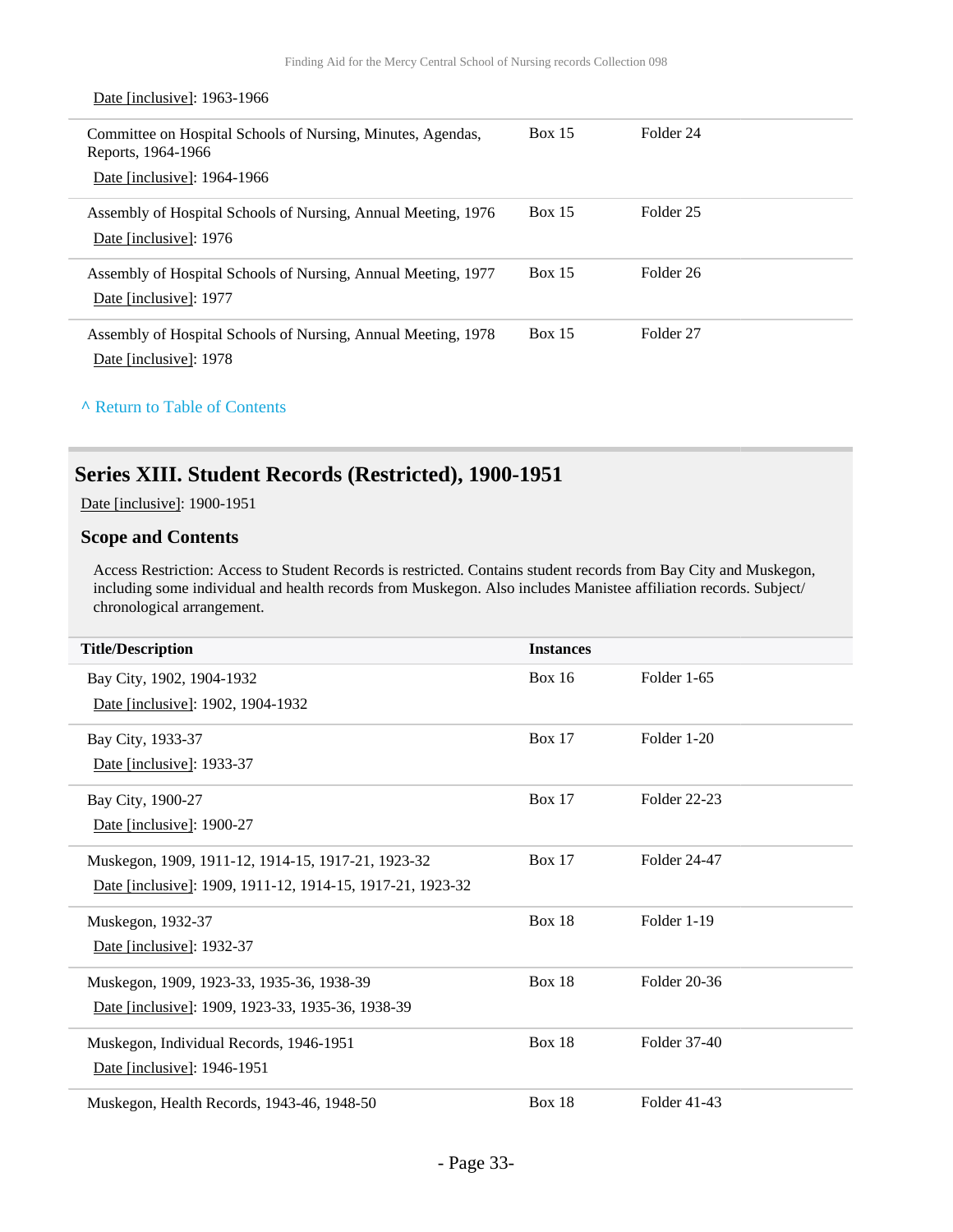| Date [inclusive]: 1963-1966                                                                                      |               |           |
|------------------------------------------------------------------------------------------------------------------|---------------|-----------|
| Committee on Hospital Schools of Nursing, Minutes, Agendas,<br>Reports, 1964-1966<br>Date [inclusive]: 1964-1966 | <b>Box 15</b> | Folder 24 |
| Assembly of Hospital Schools of Nursing, Annual Meeting, 1976<br>Date [inclusive]: 1976                          | <b>Box 15</b> | Folder 25 |
| Assembly of Hospital Schools of Nursing, Annual Meeting, 1977<br>Date [inclusive]: 1977                          | <b>Box 15</b> | Folder 26 |
| Assembly of Hospital Schools of Nursing, Annual Meeting, 1978<br>Date [inclusive]: 1978                          | Box 15        | Folder 27 |

#### **^** [Return to Table of Contents](#page-1-0)

## <span id="page-32-0"></span>**Series XIII. Student Records (Restricted), 1900-1951**

Date [inclusive]: 1900-1951

#### **Scope and Contents**

Access Restriction: Access to Student Records is restricted. Contains student records from Bay City and Muskegon, including some individual and health records from Muskegon. Also includes Manistee affiliation records. Subject/ chronological arrangement.

| <b>Title/Description</b>                                   | <b>Instances</b> |              |
|------------------------------------------------------------|------------------|--------------|
| Bay City, 1902, 1904-1932                                  | <b>Box 16</b>    | Folder 1-65  |
| Date [inclusive]: 1902, 1904-1932                          |                  |              |
| Bay City, 1933-37                                          | <b>Box 17</b>    | Folder 1-20  |
| Date [inclusive]: 1933-37                                  |                  |              |
| Bay City, 1900-27                                          | <b>Box 17</b>    | Folder 22-23 |
| Date [inclusive]: 1900-27                                  |                  |              |
| Muskegon, 1909, 1911-12, 1914-15, 1917-21, 1923-32         | <b>Box 17</b>    | Folder 24-47 |
| Date [inclusive]: 1909, 1911-12, 1914-15, 1917-21, 1923-32 |                  |              |
| Muskegon, 1932-37                                          | <b>Box 18</b>    | Folder 1-19  |
| Date [inclusive]: 1932-37                                  |                  |              |
| Muskegon, 1909, 1923-33, 1935-36, 1938-39                  | <b>Box 18</b>    | Folder 20-36 |
| Date [inclusive]: 1909, 1923-33, 1935-36, 1938-39          |                  |              |
| Muskegon, Individual Records, 1946-1951                    | <b>Box 18</b>    | Folder 37-40 |
| Date [inclusive]: 1946-1951                                |                  |              |
| Muskegon, Health Records, 1943-46, 1948-50                 | <b>Box 18</b>    | Folder 41-43 |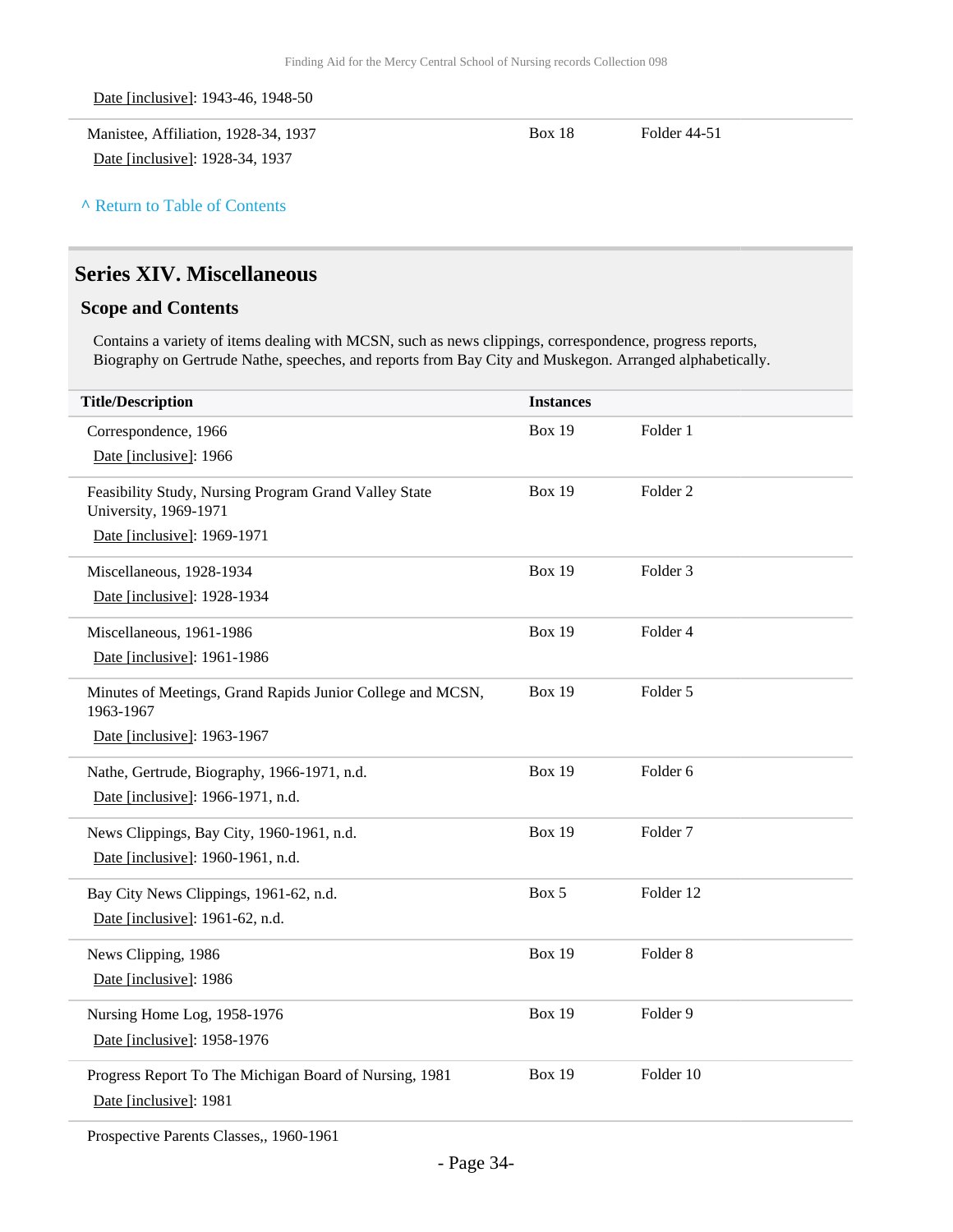Date [inclusive]: 1943-46, 1948-50

Manistee, Affiliation, 1928-34, 1937 Date [inclusive]: 1928-34, 1937

Box 18 Folder 44-51

**^** [Return to Table of Contents](#page-1-0)

## <span id="page-33-0"></span>**Series XIV. Miscellaneous**

#### **Scope and Contents**

Contains a variety of items dealing with MCSN, such as news clippings, correspondence, progress reports, Biography on Gertrude Nathe, speeches, and reports from Bay City and Muskegon. Arranged alphabetically.

| <b>Title/Description</b>                                                       | <b>Instances</b> |                     |
|--------------------------------------------------------------------------------|------------------|---------------------|
| Correspondence, 1966                                                           | <b>Box 19</b>    | Folder 1            |
| Date [inclusive]: 1966                                                         |                  |                     |
| Feasibility Study, Nursing Program Grand Valley State<br>University, 1969-1971 | <b>Box 19</b>    | Folder <sub>2</sub> |
| Date [inclusive]: 1969-1971                                                    |                  |                     |
| Miscellaneous, 1928-1934                                                       | <b>Box 19</b>    | Folder 3            |
| Date [inclusive]: 1928-1934                                                    |                  |                     |
| Miscellaneous, 1961-1986                                                       | <b>Box 19</b>    | Folder 4            |
| Date [inclusive]: 1961-1986                                                    |                  |                     |
| Minutes of Meetings, Grand Rapids Junior College and MCSN,<br>1963-1967        | <b>Box 19</b>    | Folder 5            |
| Date [inclusive]: 1963-1967                                                    |                  |                     |
| Nathe, Gertrude, Biography, 1966-1971, n.d.                                    | <b>Box 19</b>    | Folder <sub>6</sub> |
| Date [inclusive]: 1966-1971, n.d.                                              |                  |                     |
| News Clippings, Bay City, 1960-1961, n.d.                                      | <b>Box 19</b>    | Folder <sub>7</sub> |
| Date [inclusive]: 1960-1961, n.d.                                              |                  |                     |
| Bay City News Clippings, 1961-62, n.d.                                         | Box 5            | Folder 12           |
| Date [inclusive]: 1961-62, n.d.                                                |                  |                     |
| News Clipping, 1986                                                            | <b>Box 19</b>    | Folder <sub>8</sub> |
| Date [inclusive]: 1986                                                         |                  |                     |
| Nursing Home Log, 1958-1976                                                    | <b>Box 19</b>    | Folder 9            |
| Date [inclusive]: 1958-1976                                                    |                  |                     |
| Progress Report To The Michigan Board of Nursing, 1981                         | <b>Box 19</b>    | Folder 10           |
| Date [inclusive]: 1981                                                         |                  |                     |
|                                                                                |                  |                     |

Prospective Parents Classes,, 1960-1961